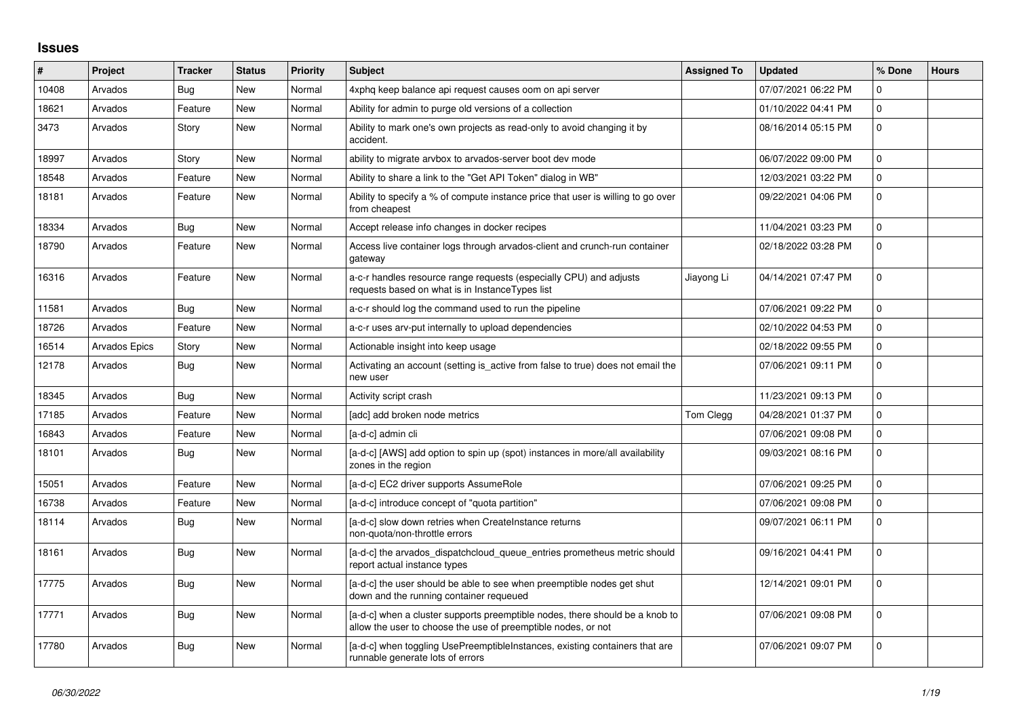## **Issues**

| $\vert$ # | Project       | <b>Tracker</b> | <b>Status</b> | Priority | <b>Subject</b>                                                                                                                                | <b>Assigned To</b> | <b>Updated</b>      | % Done      | <b>Hours</b> |
|-----------|---------------|----------------|---------------|----------|-----------------------------------------------------------------------------------------------------------------------------------------------|--------------------|---------------------|-------------|--------------|
| 10408     | Arvados       | <b>Bug</b>     | <b>New</b>    | Normal   | 4xphq keep balance api request causes oom on api server                                                                                       |                    | 07/07/2021 06:22 PM | $\Omega$    |              |
| 18621     | Arvados       | Feature        | New           | Normal   | Ability for admin to purge old versions of a collection                                                                                       |                    | 01/10/2022 04:41 PM | $\mathbf 0$ |              |
| 3473      | Arvados       | Story          | New           | Normal   | Ability to mark one's own projects as read-only to avoid changing it by<br>accident.                                                          |                    | 08/16/2014 05:15 PM | $\Omega$    |              |
| 18997     | Arvados       | Story          | <b>New</b>    | Normal   | ability to migrate arvbox to arvados-server boot dev mode                                                                                     |                    | 06/07/2022 09:00 PM | $\Omega$    |              |
| 18548     | Arvados       | Feature        | New           | Normal   | Ability to share a link to the "Get API Token" dialog in WB"                                                                                  |                    | 12/03/2021 03:22 PM | $\mathbf 0$ |              |
| 18181     | Arvados       | Feature        | <b>New</b>    | Normal   | Ability to specify a % of compute instance price that user is willing to go over<br>from cheapest                                             |                    | 09/22/2021 04:06 PM | $\mathbf 0$ |              |
| 18334     | Arvados       | Bug            | New           | Normal   | Accept release info changes in docker recipes                                                                                                 |                    | 11/04/2021 03:23 PM | $\mathbf 0$ |              |
| 18790     | Arvados       | Feature        | New           | Normal   | Access live container logs through arvados-client and crunch-run container<br>gateway                                                         |                    | 02/18/2022 03:28 PM | $\mathbf 0$ |              |
| 16316     | Arvados       | Feature        | New           | Normal   | a-c-r handles resource range requests (especially CPU) and adjusts<br>requests based on what is in InstanceTypes list                         | Jiayong Li         | 04/14/2021 07:47 PM | $\mathbf 0$ |              |
| 11581     | Arvados       | Bug            | New           | Normal   | a-c-r should log the command used to run the pipeline                                                                                         |                    | 07/06/2021 09:22 PM | $\mathbf 0$ |              |
| 18726     | Arvados       | Feature        | <b>New</b>    | Normal   | a-c-r uses arv-put internally to upload dependencies                                                                                          |                    | 02/10/2022 04:53 PM | $\Omega$    |              |
| 16514     | Arvados Epics | Story          | <b>New</b>    | Normal   | Actionable insight into keep usage                                                                                                            |                    | 02/18/2022 09:55 PM | $\mathbf 0$ |              |
| 12178     | Arvados       | Bug            | <b>New</b>    | Normal   | Activating an account (setting is active from false to true) does not email the<br>new user                                                   |                    | 07/06/2021 09:11 PM | $\mathbf 0$ |              |
| 18345     | Arvados       | Bug            | New           | Normal   | Activity script crash                                                                                                                         |                    | 11/23/2021 09:13 PM | $\Omega$    |              |
| 17185     | Arvados       | Feature        | New           | Normal   | [adc] add broken node metrics                                                                                                                 | Tom Clegg          | 04/28/2021 01:37 PM | $\mathbf 0$ |              |
| 16843     | Arvados       | Feature        | <b>New</b>    | Normal   | [a-d-c] admin cli                                                                                                                             |                    | 07/06/2021 09:08 PM | $\mathbf 0$ |              |
| 18101     | Arvados       | <b>Bug</b>     | New           | Normal   | [a-d-c] [AWS] add option to spin up (spot) instances in more/all availability<br>zones in the region                                          |                    | 09/03/2021 08:16 PM | $\mathbf 0$ |              |
| 15051     | Arvados       | Feature        | <b>New</b>    | Normal   | [a-d-c] EC2 driver supports AssumeRole                                                                                                        |                    | 07/06/2021 09:25 PM | $\mathbf 0$ |              |
| 16738     | Arvados       | Feature        | <b>New</b>    | Normal   | [a-d-c] introduce concept of "quota partition"                                                                                                |                    | 07/06/2021 09:08 PM | $\mathbf 0$ |              |
| 18114     | Arvados       | Bug            | New           | Normal   | [a-d-c] slow down retries when CreateInstance returns<br>non-quota/non-throttle errors                                                        |                    | 09/07/2021 06:11 PM | $\mathbf 0$ |              |
| 18161     | Arvados       | Bug            | New           | Normal   | [a-d-c] the arvados_dispatchcloud_queue_entries prometheus metric should<br>report actual instance types                                      |                    | 09/16/2021 04:41 PM | $\Omega$    |              |
| 17775     | Arvados       | Bug            | New           | Normal   | [a-d-c] the user should be able to see when preemptible nodes get shut<br>down and the running container requeued                             |                    | 12/14/2021 09:01 PM | $\Omega$    |              |
| 17771     | Arvados       | Bug            | <b>New</b>    | Normal   | [a-d-c] when a cluster supports preemptible nodes, there should be a knob to<br>allow the user to choose the use of preemptible nodes, or not |                    | 07/06/2021 09:08 PM | $\Omega$    |              |
| 17780     | Arvados       | Bug            | <b>New</b>    | Normal   | [a-d-c] when toggling UsePreemptibleInstances, existing containers that are<br>runnable generate lots of errors                               |                    | 07/06/2021 09:07 PM | $\Omega$    |              |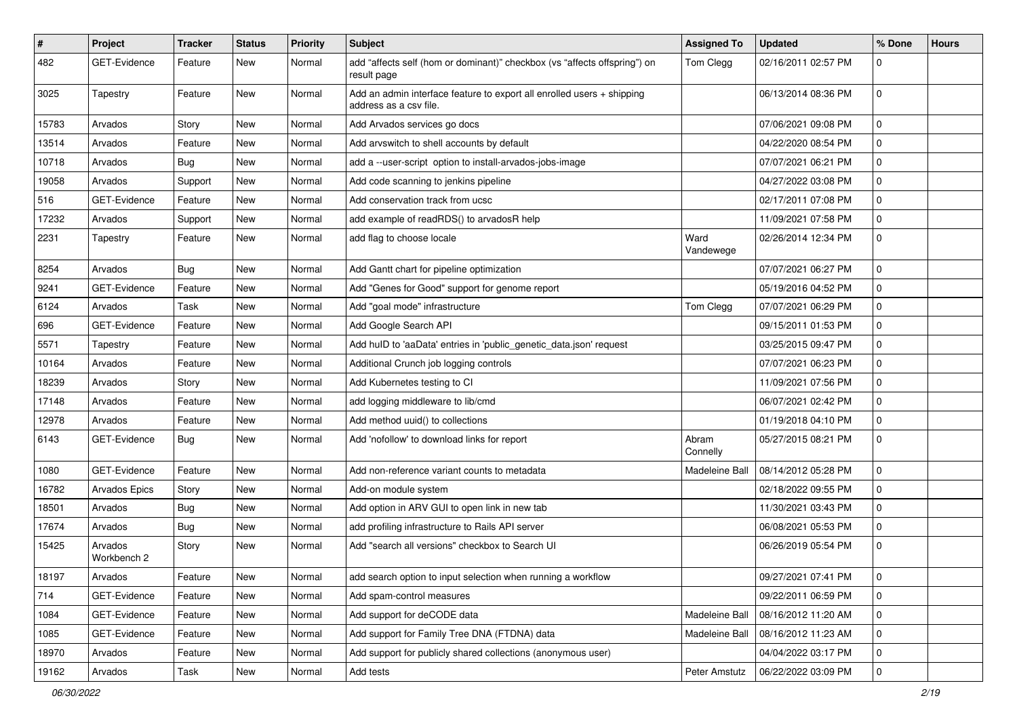| $\pmb{\#}$ | Project                | <b>Tracker</b> | <b>Status</b> | <b>Priority</b> | <b>Subject</b>                                                                                   | <b>Assigned To</b> | <b>Updated</b>      | % Done      | <b>Hours</b> |
|------------|------------------------|----------------|---------------|-----------------|--------------------------------------------------------------------------------------------------|--------------------|---------------------|-------------|--------------|
| 482        | <b>GET-Evidence</b>    | Feature        | New           | Normal          | add "affects self (hom or dominant)" checkbox (vs "affects offspring") on<br>result page         | Tom Clegg          | 02/16/2011 02:57 PM | $\mathbf 0$ |              |
| 3025       | Tapestry               | Feature        | New           | Normal          | Add an admin interface feature to export all enrolled users + shipping<br>address as a csv file. |                    | 06/13/2014 08:36 PM | $\mathbf 0$ |              |
| 15783      | Arvados                | Story          | New           | Normal          | Add Arvados services go docs                                                                     |                    | 07/06/2021 09:08 PM | $\mathbf 0$ |              |
| 13514      | Arvados                | Feature        | New           | Normal          | Add arvswitch to shell accounts by default                                                       |                    | 04/22/2020 08:54 PM | $\mathbf 0$ |              |
| 10718      | Arvados                | <b>Bug</b>     | New           | Normal          | add a --user-script option to install-arvados-jobs-image                                         |                    | 07/07/2021 06:21 PM | $\pmb{0}$   |              |
| 19058      | Arvados                | Support        | New           | Normal          | Add code scanning to jenkins pipeline                                                            |                    | 04/27/2022 03:08 PM | $\mathbf 0$ |              |
| 516        | GET-Evidence           | Feature        | New           | Normal          | Add conservation track from ucsc                                                                 |                    | 02/17/2011 07:08 PM | $\mathbf 0$ |              |
| 17232      | Arvados                | Support        | New           | Normal          | add example of readRDS() to arvadosR help                                                        |                    | 11/09/2021 07:58 PM | $\mathbf 0$ |              |
| 2231       | Tapestry               | Feature        | New           | Normal          | add flag to choose locale                                                                        | Ward<br>Vandewege  | 02/26/2014 12:34 PM | $\mathbf 0$ |              |
| 8254       | Arvados                | <b>Bug</b>     | New           | Normal          | Add Gantt chart for pipeline optimization                                                        |                    | 07/07/2021 06:27 PM | $\mathbf 0$ |              |
| 9241       | <b>GET-Evidence</b>    | Feature        | New           | Normal          | Add "Genes for Good" support for genome report                                                   |                    | 05/19/2016 04:52 PM | $\mathbf 0$ |              |
| 6124       | Arvados                | Task           | New           | Normal          | Add "goal mode" infrastructure                                                                   | Tom Clegg          | 07/07/2021 06:29 PM | $\pmb{0}$   |              |
| 696        | GET-Evidence           | Feature        | New           | Normal          | Add Google Search API                                                                            |                    | 09/15/2011 01:53 PM | $\mathbf 0$ |              |
| 5571       | Tapestry               | Feature        | New           | Normal          | Add hulD to 'aaData' entries in 'public_genetic_data.json' request                               |                    | 03/25/2015 09:47 PM | $\mathbf 0$ |              |
| 10164      | Arvados                | Feature        | New           | Normal          | Additional Crunch job logging controls                                                           |                    | 07/07/2021 06:23 PM | $\mathbf 0$ |              |
| 18239      | Arvados                | Story          | New           | Normal          | Add Kubernetes testing to CI                                                                     |                    | 11/09/2021 07:56 PM | $\mathbf 0$ |              |
| 17148      | Arvados                | Feature        | New           | Normal          | add logging middleware to lib/cmd                                                                |                    | 06/07/2021 02:42 PM | $\mathbf 0$ |              |
| 12978      | Arvados                | Feature        | New           | Normal          | Add method uuid() to collections                                                                 |                    | 01/19/2018 04:10 PM | $\mathbf 0$ |              |
| 6143       | GET-Evidence           | <b>Bug</b>     | New           | Normal          | Add 'nofollow' to download links for report                                                      | Abram<br>Connelly  | 05/27/2015 08:21 PM | $\mathbf 0$ |              |
| 1080       | GET-Evidence           | Feature        | New           | Normal          | Add non-reference variant counts to metadata                                                     | Madeleine Ball     | 08/14/2012 05:28 PM | $\mathbf 0$ |              |
| 16782      | Arvados Epics          | Story          | New           | Normal          | Add-on module system                                                                             |                    | 02/18/2022 09:55 PM | $\mathbf 0$ |              |
| 18501      | Arvados                | Bug            | New           | Normal          | Add option in ARV GUI to open link in new tab                                                    |                    | 11/30/2021 03:43 PM | $\mathbf 0$ |              |
| 17674      | Arvados                | Bug            | New           | Normal          | add profiling infrastructure to Rails API server                                                 |                    | 06/08/2021 05:53 PM | $\mathbf 0$ |              |
| 15425      | Arvados<br>Workbench 2 | Story          | New           | Normal          | Add "search all versions" checkbox to Search UI                                                  |                    | 06/26/2019 05:54 PM | $\mathbf 0$ |              |
| 18197      | Arvados                | Feature        | New           | Normal          | add search option to input selection when running a workflow                                     |                    | 09/27/2021 07:41 PM | U           |              |
| 714        | GET-Evidence           | Feature        | New           | Normal          | Add spam-control measures                                                                        |                    | 09/22/2011 06:59 PM | $\mathbf 0$ |              |
| 1084       | GET-Evidence           | Feature        | New           | Normal          | Add support for deCODE data                                                                      | Madeleine Ball     | 08/16/2012 11:20 AM | 0           |              |
| 1085       | GET-Evidence           | Feature        | New           | Normal          | Add support for Family Tree DNA (FTDNA) data                                                     | Madeleine Ball     | 08/16/2012 11:23 AM | $\mathbf 0$ |              |
| 18970      | Arvados                | Feature        | New           | Normal          | Add support for publicly shared collections (anonymous user)                                     |                    | 04/04/2022 03:17 PM | $\pmb{0}$   |              |
| 19162      | Arvados                | Task           | New           | Normal          | Add tests                                                                                        | Peter Amstutz      | 06/22/2022 03:09 PM | $\mathbf 0$ |              |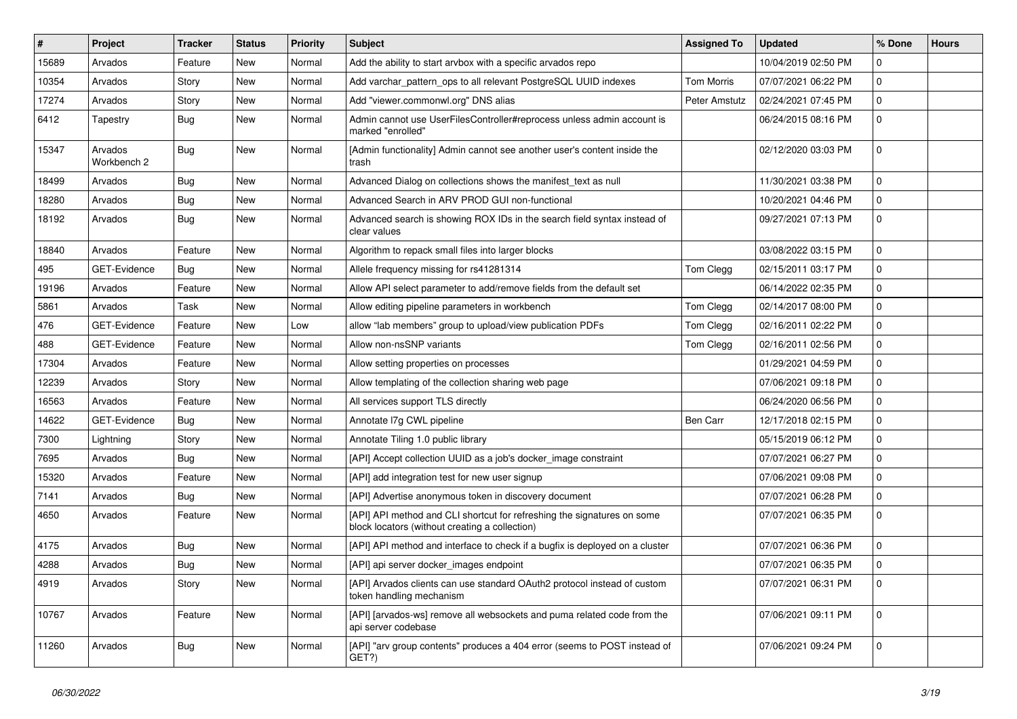| #     | Project                | <b>Tracker</b> | <b>Status</b> | Priority | <b>Subject</b>                                                                                                            | <b>Assigned To</b>   | <b>Updated</b>      | % Done         | <b>Hours</b> |
|-------|------------------------|----------------|---------------|----------|---------------------------------------------------------------------------------------------------------------------------|----------------------|---------------------|----------------|--------------|
| 15689 | Arvados                | Feature        | New           | Normal   | Add the ability to start arvbox with a specific arvados repo                                                              |                      | 10/04/2019 02:50 PM | $\mathbf{0}$   |              |
| 10354 | Arvados                | Story          | New           | Normal   | Add varchar_pattern_ops to all relevant PostgreSQL UUID indexes                                                           | <b>Tom Morris</b>    | 07/07/2021 06:22 PM | 0              |              |
| 17274 | Arvados                | Story          | New           | Normal   | Add "viewer.commonwl.org" DNS alias                                                                                       | <b>Peter Amstutz</b> | 02/24/2021 07:45 PM | $\mathbf 0$    |              |
| 6412  | Tapestry               | Bug            | New           | Normal   | Admin cannot use UserFilesController#reprocess unless admin account is<br>marked "enrolled"                               |                      | 06/24/2015 08:16 PM | $\mathbf 0$    |              |
| 15347 | Arvados<br>Workbench 2 | Bug            | New           | Normal   | [Admin functionality] Admin cannot see another user's content inside the<br>trash                                         |                      | 02/12/2020 03:03 PM | 0              |              |
| 18499 | Arvados                | Bug            | New           | Normal   | Advanced Dialog on collections shows the manifest_text as null                                                            |                      | 11/30/2021 03:38 PM | 0              |              |
| 18280 | Arvados                | Bug            | New           | Normal   | Advanced Search in ARV PROD GUI non-functional                                                                            |                      | 10/20/2021 04:46 PM | $\mathbf 0$    |              |
| 18192 | Arvados                | Bug            | New           | Normal   | Advanced search is showing ROX IDs in the search field syntax instead of<br>clear values                                  |                      | 09/27/2021 07:13 PM | $\mathbf 0$    |              |
| 18840 | Arvados                | Feature        | New           | Normal   | Algorithm to repack small files into larger blocks                                                                        |                      | 03/08/2022 03:15 PM | $\mathbf 0$    |              |
| 495   | <b>GET-Evidence</b>    | Bug            | New           | Normal   | Allele frequency missing for rs41281314                                                                                   | Tom Clegg            | 02/15/2011 03:17 PM | 0              |              |
| 19196 | Arvados                | Feature        | New           | Normal   | Allow API select parameter to add/remove fields from the default set                                                      |                      | 06/14/2022 02:35 PM | 0              |              |
| 5861  | Arvados                | Task           | New           | Normal   | Allow editing pipeline parameters in workbench                                                                            | Tom Clegg            | 02/14/2017 08:00 PM | $\mathbf 0$    |              |
| 476   | GET-Evidence           | Feature        | New           | Low      | allow "lab members" group to upload/view publication PDFs                                                                 | Tom Clegg            | 02/16/2011 02:22 PM | 0              |              |
| 488   | GET-Evidence           | Feature        | New           | Normal   | Allow non-nsSNP variants                                                                                                  | Tom Clegg            | 02/16/2011 02:56 PM | $\mathbf 0$    |              |
| 17304 | Arvados                | Feature        | New           | Normal   | Allow setting properties on processes                                                                                     |                      | 01/29/2021 04:59 PM | 0              |              |
| 12239 | Arvados                | Story          | New           | Normal   | Allow templating of the collection sharing web page                                                                       |                      | 07/06/2021 09:18 PM | $\mathbf 0$    |              |
| 16563 | Arvados                | Feature        | New           | Normal   | All services support TLS directly                                                                                         |                      | 06/24/2020 06:56 PM | 0              |              |
| 14622 | GET-Evidence           | Bug            | New           | Normal   | Annotate I7g CWL pipeline                                                                                                 | <b>Ben Carr</b>      | 12/17/2018 02:15 PM | $\mathbf 0$    |              |
| 7300  | Lightning              | Story          | New           | Normal   | Annotate Tiling 1.0 public library                                                                                        |                      | 05/15/2019 06:12 PM | $\mathbf 0$    |              |
| 7695  | Arvados                | Bug            | New           | Normal   | [API] Accept collection UUID as a job's docker_image constraint                                                           |                      | 07/07/2021 06:27 PM | 0              |              |
| 15320 | Arvados                | Feature        | New           | Normal   | [API] add integration test for new user signup                                                                            |                      | 07/06/2021 09:08 PM | $\mathbf 0$    |              |
| 7141  | Arvados                | <b>Bug</b>     | New           | Normal   | [API] Advertise anonymous token in discovery document                                                                     |                      | 07/07/2021 06:28 PM | $\mathbf 0$    |              |
| 4650  | Arvados                | Feature        | New           | Normal   | [API] API method and CLI shortcut for refreshing the signatures on some<br>block locators (without creating a collection) |                      | 07/07/2021 06:35 PM | $\mathbf 0$    |              |
| 4175  | Arvados                | Bug            | New           | Normal   | [API] API method and interface to check if a bugfix is deployed on a cluster                                              |                      | 07/07/2021 06:36 PM | $\mathbf 0$    |              |
| 4288  | Arvados                | Bug            | New           | Normal   | [API] api server docker_images endpoint                                                                                   |                      | 07/07/2021 06:35 PM | 0              |              |
| 4919  | Arvados                | Story          | New           | Normal   | [API] Arvados clients can use standard OAuth2 protocol instead of custom<br>token handling mechanism                      |                      | 07/07/2021 06:31 PM | 0              |              |
| 10767 | Arvados                | Feature        | New           | Normal   | [API] [arvados-ws] remove all websockets and puma related code from the<br>api server codebase                            |                      | 07/06/2021 09:11 PM | $\mathbf 0$    |              |
| 11260 | Arvados                | Bug            | New           | Normal   | [API] "arv group contents" produces a 404 error (seems to POST instead of<br>GET?)                                        |                      | 07/06/2021 09:24 PM | $\overline{0}$ |              |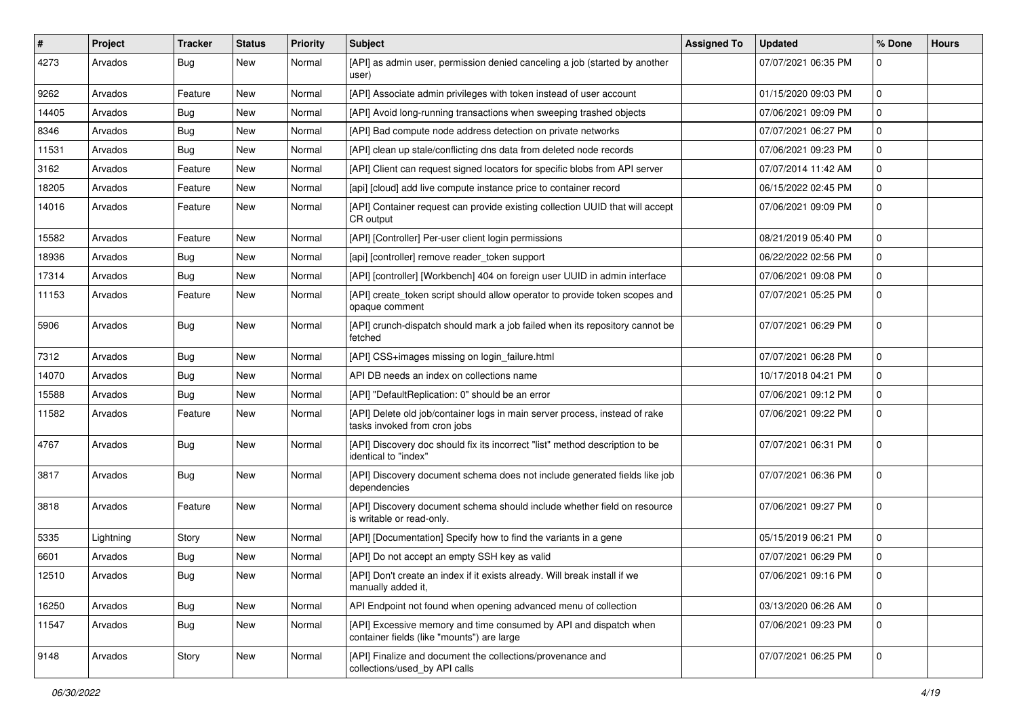| ∦     | Project   | <b>Tracker</b> | <b>Status</b> | <b>Priority</b> | Subject                                                                                                         | <b>Assigned To</b> | <b>Updated</b>      | % Done         | <b>Hours</b> |
|-------|-----------|----------------|---------------|-----------------|-----------------------------------------------------------------------------------------------------------------|--------------------|---------------------|----------------|--------------|
| 4273  | Arvados   | Bug            | New           | Normal          | [API] as admin user, permission denied canceling a job (started by another<br>user)                             |                    | 07/07/2021 06:35 PM | $\Omega$       |              |
| 9262  | Arvados   | Feature        | New           | Normal          | [API] Associate admin privileges with token instead of user account                                             |                    | 01/15/2020 09:03 PM | $\mathbf 0$    |              |
| 14405 | Arvados   | Bug            | New           | Normal          | [API] Avoid long-running transactions when sweeping trashed objects                                             |                    | 07/06/2021 09:09 PM | $\mathbf 0$    |              |
| 8346  | Arvados   | Bug            | New           | Normal          | [API] Bad compute node address detection on private networks                                                    |                    | 07/07/2021 06:27 PM | $\mathbf 0$    |              |
| 11531 | Arvados   | Bug            | New           | Normal          | [API] clean up stale/conflicting dns data from deleted node records                                             |                    | 07/06/2021 09:23 PM | 0              |              |
| 3162  | Arvados   | Feature        | New           | Normal          | [API] Client can request signed locators for specific blobs from API server                                     |                    | 07/07/2014 11:42 AM | $\mathbf 0$    |              |
| 18205 | Arvados   | Feature        | New           | Normal          | [api] [cloud] add live compute instance price to container record                                               |                    | 06/15/2022 02:45 PM | 0              |              |
| 14016 | Arvados   | Feature        | New           | Normal          | [API] Container request can provide existing collection UUID that will accept<br>CR output                      |                    | 07/06/2021 09:09 PM | $\mathbf 0$    |              |
| 15582 | Arvados   | Feature        | New           | Normal          | [API] [Controller] Per-user client login permissions                                                            |                    | 08/21/2019 05:40 PM | $\mathbf 0$    |              |
| 18936 | Arvados   | Bug            | New           | Normal          | [api] [controller] remove reader token support                                                                  |                    | 06/22/2022 02:56 PM | $\mathbf 0$    |              |
| 17314 | Arvados   | <b>Bug</b>     | New           | Normal          | [API] [controller] [Workbench] 404 on foreign user UUID in admin interface                                      |                    | 07/06/2021 09:08 PM | $\mathbf 0$    |              |
| 11153 | Arvados   | Feature        | New           | Normal          | [API] create_token script should allow operator to provide token scopes and<br>opaque comment                   |                    | 07/07/2021 05:25 PM | $\mathbf 0$    |              |
| 5906  | Arvados   | Bug            | New           | Normal          | [API] crunch-dispatch should mark a job failed when its repository cannot be<br>fetched                         |                    | 07/07/2021 06:29 PM | $\mathbf 0$    |              |
| 7312  | Arvados   | <b>Bug</b>     | New           | Normal          | [API] CSS+images missing on login_failure.html                                                                  |                    | 07/07/2021 06:28 PM | $\mathbf 0$    |              |
| 14070 | Arvados   | <b>Bug</b>     | New           | Normal          | API DB needs an index on collections name                                                                       |                    | 10/17/2018 04:21 PM | 0              |              |
| 15588 | Arvados   | Bug            | New           | Normal          | [API] "DefaultReplication: 0" should be an error                                                                |                    | 07/06/2021 09:12 PM | $\mathbf 0$    |              |
| 11582 | Arvados   | Feature        | New           | Normal          | [API] Delete old job/container logs in main server process, instead of rake<br>tasks invoked from cron jobs     |                    | 07/06/2021 09:22 PM | $\mathbf{0}$   |              |
| 4767  | Arvados   | Bug            | New           | Normal          | [API] Discovery doc should fix its incorrect "list" method description to be<br>identical to "index"            |                    | 07/07/2021 06:31 PM | $\Omega$       |              |
| 3817  | Arvados   | Bug            | New           | Normal          | [API] Discovery document schema does not include generated fields like job<br>dependencies                      |                    | 07/07/2021 06:36 PM | $\Omega$       |              |
| 3818  | Arvados   | Feature        | New           | Normal          | [API] Discovery document schema should include whether field on resource<br>is writable or read-only.           |                    | 07/06/2021 09:27 PM | $\mathbf 0$    |              |
| 5335  | Lightning | Story          | New           | Normal          | [API] [Documentation] Specify how to find the variants in a gene                                                |                    | 05/15/2019 06:21 PM | $\mathbf 0$    |              |
| 6601  | Arvados   | <b>Bug</b>     | New           | Normal          | [API] Do not accept an empty SSH key as valid                                                                   |                    | 07/07/2021 06:29 PM | 0              |              |
| 12510 | Arvados   | <b>Bug</b>     | New           | Normal          | [API] Don't create an index if it exists already. Will break install if we<br>manually added it,                |                    | 07/06/2021 09:16 PM |                |              |
| 16250 | Arvados   | Bug            | New           | Normal          | API Endpoint not found when opening advanced menu of collection                                                 |                    | 03/13/2020 06:26 AM | $\mathbf 0$    |              |
| 11547 | Arvados   | <b>Bug</b>     | New           | Normal          | [API] Excessive memory and time consumed by API and dispatch when<br>container fields (like "mounts") are large |                    | 07/06/2021 09:23 PM | $\overline{0}$ |              |
| 9148  | Arvados   | Story          | New           | Normal          | [API] Finalize and document the collections/provenance and<br>collections/used_by API calls                     |                    | 07/07/2021 06:25 PM | $\overline{0}$ |              |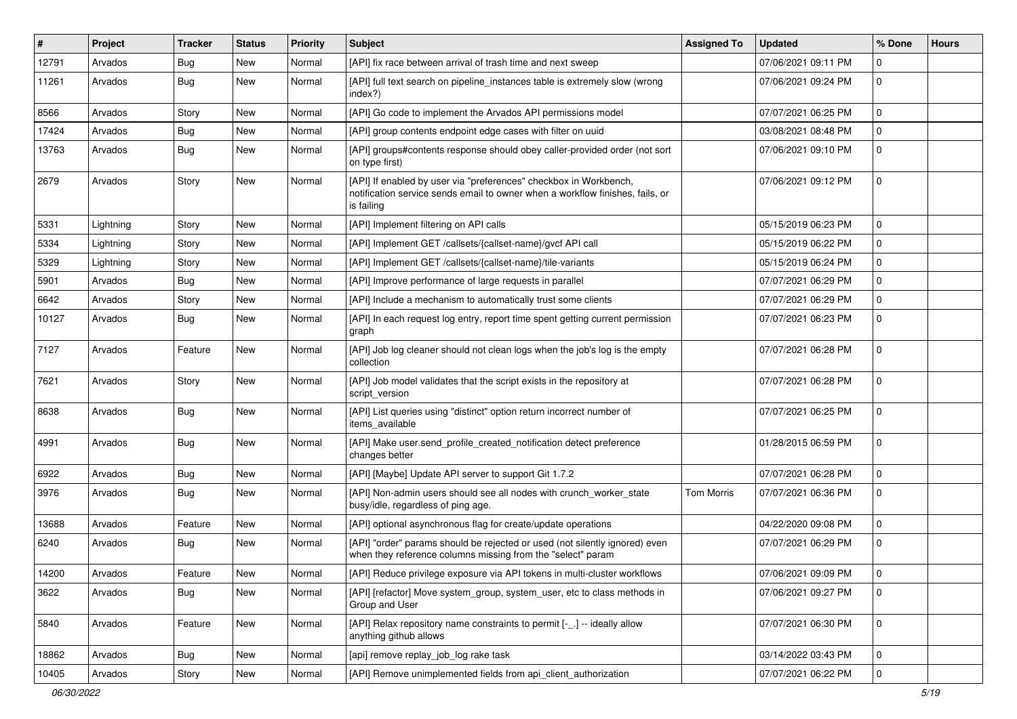| #     | Project   | <b>Tracker</b> | <b>Status</b> | <b>Priority</b> | <b>Subject</b>                                                                                                                                                   | <b>Assigned To</b> | <b>Updated</b>      | % Done      | <b>Hours</b> |
|-------|-----------|----------------|---------------|-----------------|------------------------------------------------------------------------------------------------------------------------------------------------------------------|--------------------|---------------------|-------------|--------------|
| 12791 | Arvados   | <b>Bug</b>     | New           | Normal          | [API] fix race between arrival of trash time and next sweep                                                                                                      |                    | 07/06/2021 09:11 PM | $\Omega$    |              |
| 11261 | Arvados   | <b>Bug</b>     | New           | Normal          | [API] full text search on pipeline instances table is extremely slow (wrong<br>index?)                                                                           |                    | 07/06/2021 09:24 PM | 0           |              |
| 8566  | Arvados   | Story          | New           | Normal          | [API] Go code to implement the Arvados API permissions model                                                                                                     |                    | 07/07/2021 06:25 PM | 0           |              |
| 17424 | Arvados   | <b>Bug</b>     | New           | Normal          | [API] group contents endpoint edge cases with filter on uuid                                                                                                     |                    | 03/08/2021 08:48 PM | 0           |              |
| 13763 | Arvados   | Bug            | New           | Normal          | [API] groups#contents response should obey caller-provided order (not sort<br>on type first)                                                                     |                    | 07/06/2021 09:10 PM | $\Omega$    |              |
| 2679  | Arvados   | Story          | New           | Normal          | [API] If enabled by user via "preferences" checkbox in Workbench,<br>notification service sends email to owner when a workflow finishes, fails, or<br>is failing |                    | 07/06/2021 09:12 PM | 0           |              |
| 5331  | Lightning | Story          | New           | Normal          | [API] Implement filtering on API calls                                                                                                                           |                    | 05/15/2019 06:23 PM | $\Omega$    |              |
| 5334  | Lightning | Story          | New           | Normal          | [API] Implement GET /callsets/{callset-name}/gvcf API call                                                                                                       |                    | 05/15/2019 06:22 PM | $\Omega$    |              |
| 5329  | Lightning | Story          | New           | Normal          | [API] Implement GET /callsets/{callset-name}/tile-variants                                                                                                       |                    | 05/15/2019 06:24 PM | 0           |              |
| 5901  | Arvados   | <b>Bug</b>     | New           | Normal          | [API] Improve performance of large requests in parallel                                                                                                          |                    | 07/07/2021 06:29 PM | $\Omega$    |              |
| 6642  | Arvados   | Story          | New           | Normal          | [API] Include a mechanism to automatically trust some clients                                                                                                    |                    | 07/07/2021 06:29 PM | $\mathbf 0$ |              |
| 10127 | Arvados   | Bug            | New           | Normal          | [API] In each request log entry, report time spent getting current permission<br>graph                                                                           |                    | 07/07/2021 06:23 PM | 0           |              |
| 7127  | Arvados   | Feature        | New           | Normal          | [API] Job log cleaner should not clean logs when the job's log is the empty<br>collection                                                                        |                    | 07/07/2021 06:28 PM | $\Omega$    |              |
| 7621  | Arvados   | Story          | New           | Normal          | [API] Job model validates that the script exists in the repository at<br>script_version                                                                          |                    | 07/07/2021 06:28 PM | $\mathbf 0$ |              |
| 8638  | Arvados   | Bug            | New           | Normal          | [API] List queries using "distinct" option return incorrect number of<br>items available                                                                         |                    | 07/07/2021 06:25 PM | $\Omega$    |              |
| 4991  | Arvados   | Bug            | <b>New</b>    | Normal          | [API] Make user.send_profile_created_notification detect preference<br>changes better                                                                            |                    | 01/28/2015 06:59 PM | $\mathbf 0$ |              |
| 6922  | Arvados   | Bug            | <b>New</b>    | Normal          | [API] [Maybe] Update API server to support Git 1.7.2                                                                                                             |                    | 07/07/2021 06:28 PM | $\mathbf 0$ |              |
| 3976  | Arvados   | Bug            | New           | Normal          | [API] Non-admin users should see all nodes with crunch_worker_state<br>busy/idle, regardless of ping age.                                                        | <b>Tom Morris</b>  | 07/07/2021 06:36 PM | 0           |              |
| 13688 | Arvados   | Feature        | New           | Normal          | [API] optional asynchronous flag for create/update operations                                                                                                    |                    | 04/22/2020 09:08 PM | 0           |              |
| 6240  | Arvados   | Bug            | New           | Normal          | [API] "order" params should be rejected or used (not silently ignored) even<br>when they reference columns missing from the "select" param                       |                    | 07/07/2021 06:29 PM | $\Omega$    |              |
| 14200 | Arvados   | Feature        | New           | Normal          | [API] Reduce privilege exposure via API tokens in multi-cluster workflows                                                                                        |                    | 07/06/2021 09:09 PM | 0           |              |
| 3622  | Arvados   | Bug            | New           | Normal          | [API] [refactor] Move system_group, system_user, etc to class methods in<br>Group and User                                                                       |                    | 07/06/2021 09:27 PM | 0           |              |
| 5840  | Arvados   | Feature        | New           | Normal          | [API] Relax repository name constraints to permit [-_.] -- ideally allow<br>anything github allows                                                               |                    | 07/07/2021 06:30 PM | $\mathbf 0$ |              |
| 18862 | Arvados   | <b>Bug</b>     | New           | Normal          | [api] remove replay_job_log rake task                                                                                                                            |                    | 03/14/2022 03:43 PM | 0           |              |
| 10405 | Arvados   | Story          | New           | Normal          | [API] Remove unimplemented fields from api_client_authorization                                                                                                  |                    | 07/07/2021 06:22 PM | 0           |              |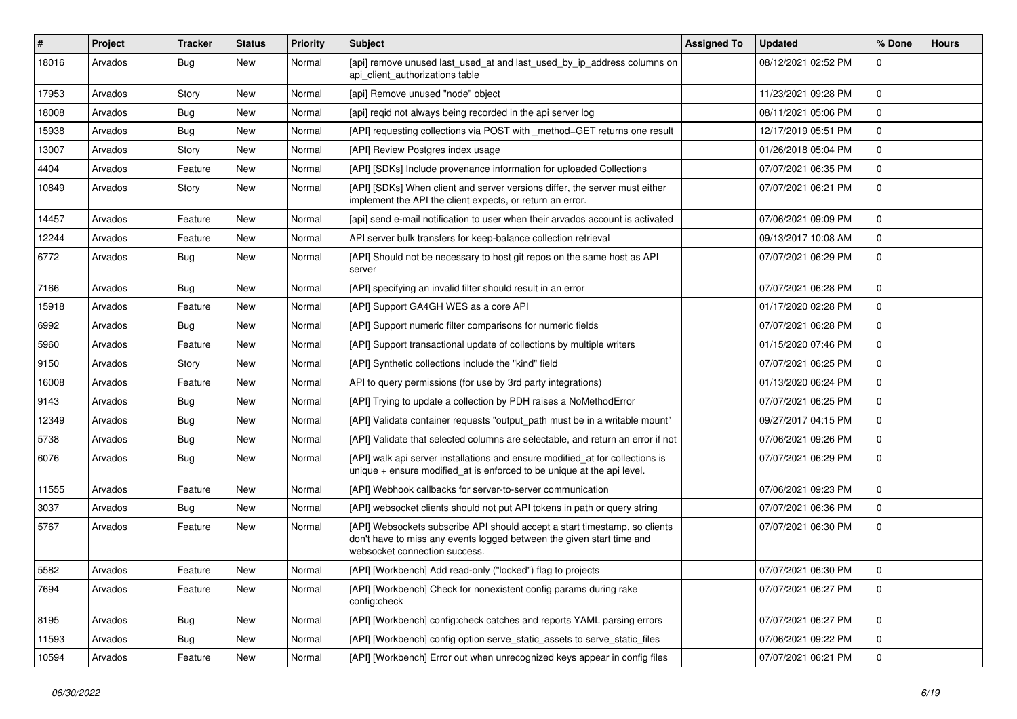| ∦     | Project | <b>Tracker</b> | <b>Status</b> | <b>Priority</b> | Subject                                                                                                                                                                              | <b>Assigned To</b> | <b>Updated</b>      | % Done         | <b>Hours</b> |
|-------|---------|----------------|---------------|-----------------|--------------------------------------------------------------------------------------------------------------------------------------------------------------------------------------|--------------------|---------------------|----------------|--------------|
| 18016 | Arvados | Bug            | New           | Normal          | [api] remove unused last_used_at and last_used_by_ip_address columns on<br>api client authorizations table                                                                           |                    | 08/12/2021 02:52 PM | $\mathbf 0$    |              |
| 17953 | Arvados | Story          | New           | Normal          | [api] Remove unused "node" object                                                                                                                                                    |                    | 11/23/2021 09:28 PM | $\mathbf 0$    |              |
| 18008 | Arvados | Bug            | New           | Normal          | [api] reqid not always being recorded in the api server log                                                                                                                          |                    | 08/11/2021 05:06 PM | $\mathbf 0$    |              |
| 15938 | Arvados | Bug            | New           | Normal          | [API] requesting collections via POST with _method=GET returns one result                                                                                                            |                    | 12/17/2019 05:51 PM | $\mathbf{0}$   |              |
| 13007 | Arvados | Story          | New           | Normal          | [API] Review Postgres index usage                                                                                                                                                    |                    | 01/26/2018 05:04 PM | 0              |              |
| 4404  | Arvados | Feature        | New           | Normal          | [API] [SDKs] Include provenance information for uploaded Collections                                                                                                                 |                    | 07/07/2021 06:35 PM | $\mathbf 0$    |              |
| 10849 | Arvados | Story          | New           | Normal          | [API] [SDKs] When client and server versions differ, the server must either<br>implement the API the client expects, or return an error.                                             |                    | 07/07/2021 06:21 PM | $\mathbf 0$    |              |
| 14457 | Arvados | Feature        | New           | Normal          | [api] send e-mail notification to user when their arvados account is activated                                                                                                       |                    | 07/06/2021 09:09 PM | $\mathbf 0$    |              |
| 12244 | Arvados | Feature        | New           | Normal          | API server bulk transfers for keep-balance collection retrieval                                                                                                                      |                    | 09/13/2017 10:08 AM | $\mathbf 0$    |              |
| 6772  | Arvados | Bug            | New           | Normal          | [API] Should not be necessary to host git repos on the same host as API<br>server                                                                                                    |                    | 07/07/2021 06:29 PM | $\mathbf 0$    |              |
| 7166  | Arvados | Bug            | New           | Normal          | [API] specifying an invalid filter should result in an error                                                                                                                         |                    | 07/07/2021 06:28 PM | $\mathbf 0$    |              |
| 15918 | Arvados | Feature        | New           | Normal          | [API] Support GA4GH WES as a core API                                                                                                                                                |                    | 01/17/2020 02:28 PM | $\mathbf 0$    |              |
| 6992  | Arvados | Bug            | New           | Normal          | [API] Support numeric filter comparisons for numeric fields                                                                                                                          |                    | 07/07/2021 06:28 PM | $\mathbf 0$    |              |
| 5960  | Arvados | Feature        | New           | Normal          | [API] Support transactional update of collections by multiple writers                                                                                                                |                    | 01/15/2020 07:46 PM | $\mathbf 0$    |              |
| 9150  | Arvados | Story          | New           | Normal          | [API] Synthetic collections include the "kind" field                                                                                                                                 |                    | 07/07/2021 06:25 PM | $\mathbf 0$    |              |
| 16008 | Arvados | Feature        | New           | Normal          | API to query permissions (for use by 3rd party integrations)                                                                                                                         |                    | 01/13/2020 06:24 PM | $\mathbf 0$    |              |
| 9143  | Arvados | Bug            | New           | Normal          | [API] Trying to update a collection by PDH raises a NoMethodError                                                                                                                    |                    | 07/07/2021 06:25 PM | $\mathbf 0$    |              |
| 12349 | Arvados | Bug            | New           | Normal          | [API] Validate container requests "output_path must be in a writable mount"                                                                                                          |                    | 09/27/2017 04:15 PM | $\mathbf 0$    |              |
| 5738  | Arvados | <b>Bug</b>     | New           | Normal          | [API] Validate that selected columns are selectable, and return an error if not                                                                                                      |                    | 07/06/2021 09:26 PM | $\mathbf 0$    |              |
| 6076  | Arvados | <b>Bug</b>     | New           | Normal          | [API] walk api server installations and ensure modified_at for collections is<br>unique + ensure modified_at is enforced to be unique at the api level.                              |                    | 07/07/2021 06:29 PM | $\mathbf 0$    |              |
| 11555 | Arvados | Feature        | New           | Normal          | [API] Webhook callbacks for server-to-server communication                                                                                                                           |                    | 07/06/2021 09:23 PM | $\mathbf 0$    |              |
| 3037  | Arvados | Bug            | New           | Normal          | [API] websocket clients should not put API tokens in path or query string                                                                                                            |                    | 07/07/2021 06:36 PM | $\mathbf 0$    |              |
| 5767  | Arvados | Feature        | New           | Normal          | [API] Websockets subscribe API should accept a start timestamp, so clients<br>don't have to miss any events logged between the given start time and<br>websocket connection success. |                    | 07/07/2021 06:30 PM | $\mathbf 0$    |              |
| 5582  | Arvados | Feature        | New           | Normal          | [API] [Workbench] Add read-only ("locked") flag to projects                                                                                                                          |                    | 07/07/2021 06:30 PM | $\Omega$       |              |
| 7694  | Arvados | Feature        | New           | Normal          | [API] [Workbench] Check for nonexistent config params during rake<br>config:check                                                                                                    |                    | 07/07/2021 06:27 PM | $\overline{0}$ |              |
| 8195  | Arvados | Bug            | New           | Normal          | [API] [Workbench] config:check catches and reports YAML parsing errors                                                                                                               |                    | 07/07/2021 06:27 PM | $\mathbf 0$    |              |
| 11593 | Arvados | <b>Bug</b>     | New           | Normal          | [API] [Workbench] config option serve_static_assets to serve_static_files                                                                                                            |                    | 07/06/2021 09:22 PM | $\mathbf 0$    |              |
| 10594 | Arvados | Feature        | New           | Normal          | [API] [Workbench] Error out when unrecognized keys appear in config files                                                                                                            |                    | 07/07/2021 06:21 PM | $\overline{0}$ |              |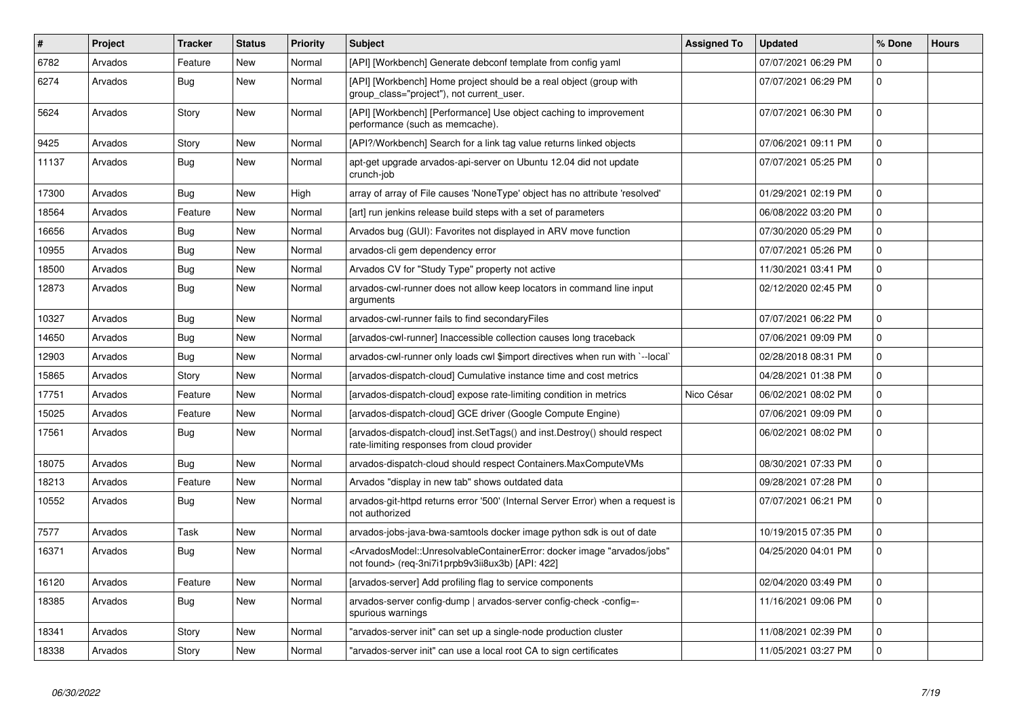| ∥ #   | Project | <b>Tracker</b> | <b>Status</b> | Priority | <b>Subject</b>                                                                                                                                                                        | <b>Assigned To</b> | <b>Updated</b>      | % Done      | <b>Hours</b> |
|-------|---------|----------------|---------------|----------|---------------------------------------------------------------------------------------------------------------------------------------------------------------------------------------|--------------------|---------------------|-------------|--------------|
| 6782  | Arvados | Feature        | New           | Normal   | [API] [Workbench] Generate debconf template from config yaml                                                                                                                          |                    | 07/07/2021 06:29 PM | $\mathbf 0$ |              |
| 6274  | Arvados | <b>Bug</b>     | <b>New</b>    | Normal   | [API] [Workbench] Home project should be a real object (group with<br>group class="project"), not current user.                                                                       |                    | 07/07/2021 06:29 PM | $\mathbf 0$ |              |
| 5624  | Arvados | Story          | New           | Normal   | [API] [Workbench] [Performance] Use object caching to improvement<br>performance (such as memcache).                                                                                  |                    | 07/07/2021 06:30 PM | 0           |              |
| 9425  | Arvados | Story          | New           | Normal   | [API?/Workbench] Search for a link tag value returns linked objects                                                                                                                   |                    | 07/06/2021 09:11 PM | $\Omega$    |              |
| 11137 | Arvados | Bug            | New           | Normal   | apt-get upgrade arvados-api-server on Ubuntu 12.04 did not update<br>crunch-job                                                                                                       |                    | 07/07/2021 05:25 PM | 0           |              |
| 17300 | Arvados | Bug            | <b>New</b>    | High     | array of array of File causes 'NoneType' object has no attribute 'resolved'                                                                                                           |                    | 01/29/2021 02:19 PM | $\Omega$    |              |
| 18564 | Arvados | Feature        | <b>New</b>    | Normal   | [art] run jenkins release build steps with a set of parameters                                                                                                                        |                    | 06/08/2022 03:20 PM | 0           |              |
| 16656 | Arvados | <b>Bug</b>     | New           | Normal   | Arvados bug (GUI): Favorites not displayed in ARV move function                                                                                                                       |                    | 07/30/2020 05:29 PM | $\mathbf 0$ |              |
| 10955 | Arvados | Bug            | New           | Normal   | arvados-cli gem dependency error                                                                                                                                                      |                    | 07/07/2021 05:26 PM | $\mathbf 0$ |              |
| 18500 | Arvados | Bug            | New           | Normal   | Arvados CV for "Study Type" property not active                                                                                                                                       |                    | 11/30/2021 03:41 PM | 0           |              |
| 12873 | Arvados | <b>Bug</b>     | New           | Normal   | arvados-cwl-runner does not allow keep locators in command line input<br>arguments                                                                                                    |                    | 02/12/2020 02:45 PM | $\mathbf 0$ |              |
| 10327 | Arvados | Bug            | <b>New</b>    | Normal   | arvados-cwl-runner fails to find secondaryFiles                                                                                                                                       |                    | 07/07/2021 06:22 PM | $\Omega$    |              |
| 14650 | Arvados | Bug            | <b>New</b>    | Normal   | [arvados-cwl-runner] Inaccessible collection causes long traceback                                                                                                                    |                    | 07/06/2021 09:09 PM | 0           |              |
| 12903 | Arvados | Bug            | New           | Normal   | arvados-cwl-runner only loads cwl \$import directives when run with `--local`                                                                                                         |                    | 02/28/2018 08:31 PM | $\pmb{0}$   |              |
| 15865 | Arvados | Story          | New           | Normal   | [arvados-dispatch-cloud] Cumulative instance time and cost metrics                                                                                                                    |                    | 04/28/2021 01:38 PM | $\pmb{0}$   |              |
| 17751 | Arvados | Feature        | New           | Normal   | [arvados-dispatch-cloud] expose rate-limiting condition in metrics                                                                                                                    | Nico César         | 06/02/2021 08:02 PM | $\Omega$    |              |
| 15025 | Arvados | Feature        | New           | Normal   | [arvados-dispatch-cloud] GCE driver (Google Compute Engine)                                                                                                                           |                    | 07/06/2021 09:09 PM | 0           |              |
| 17561 | Arvados | <b>Bug</b>     | New           | Normal   | [arvados-dispatch-cloud] inst.SetTags() and inst.Destroy() should respect<br>rate-limiting responses from cloud provider                                                              |                    | 06/02/2021 08:02 PM | $\mathbf 0$ |              |
| 18075 | Arvados | Bug            | New           | Normal   | arvados-dispatch-cloud should respect Containers.MaxComputeVMs                                                                                                                        |                    | 08/30/2021 07:33 PM | 0           |              |
| 18213 | Arvados | Feature        | New           | Normal   | Arvados "display in new tab" shows outdated data                                                                                                                                      |                    | 09/28/2021 07:28 PM | $\mathbf 0$ |              |
| 10552 | Arvados | Bug            | New           | Normal   | arvados-git-httpd returns error '500' (Internal Server Error) when a request is<br>not authorized                                                                                     |                    | 07/07/2021 06:21 PM | $\mathbf 0$ |              |
| 7577  | Arvados | Task           | <b>New</b>    | Normal   | arvados-jobs-java-bwa-samtools docker image python sdk is out of date                                                                                                                 |                    | 10/19/2015 07:35 PM | $\mathbf 0$ |              |
| 16371 | Arvados | Bug            | New           | Normal   | <arvadosmodel::unresolvablecontainererror: "arvados="" docker="" image="" jobs"<br="">not found&gt; (req-3ni7i1prpb9v3ii8ux3b) [API: 422]</arvadosmodel::unresolvablecontainererror:> |                    | 04/25/2020 04:01 PM | $\Omega$    |              |
| 16120 | Arvados | Feature        | <b>New</b>    | Normal   | [arvados-server] Add profiling flag to service components                                                                                                                             |                    | 02/04/2020 03:49 PM | $\mathbf 0$ |              |
| 18385 | Arvados | Bug            | New           | Normal   | arvados-server config-dump   arvados-server config-check -config=-<br>spurious warnings                                                                                               |                    | 11/16/2021 09:06 PM | $\Omega$    |              |
| 18341 | Arvados | Story          | New           | Normal   | 'arvados-server init" can set up a single-node production cluster                                                                                                                     |                    | 11/08/2021 02:39 PM | 0           |              |
| 18338 | Arvados | Story          | New           | Normal   | 'arvados-server init" can use a local root CA to sign certificates                                                                                                                    |                    | 11/05/2021 03:27 PM | $\Omega$    |              |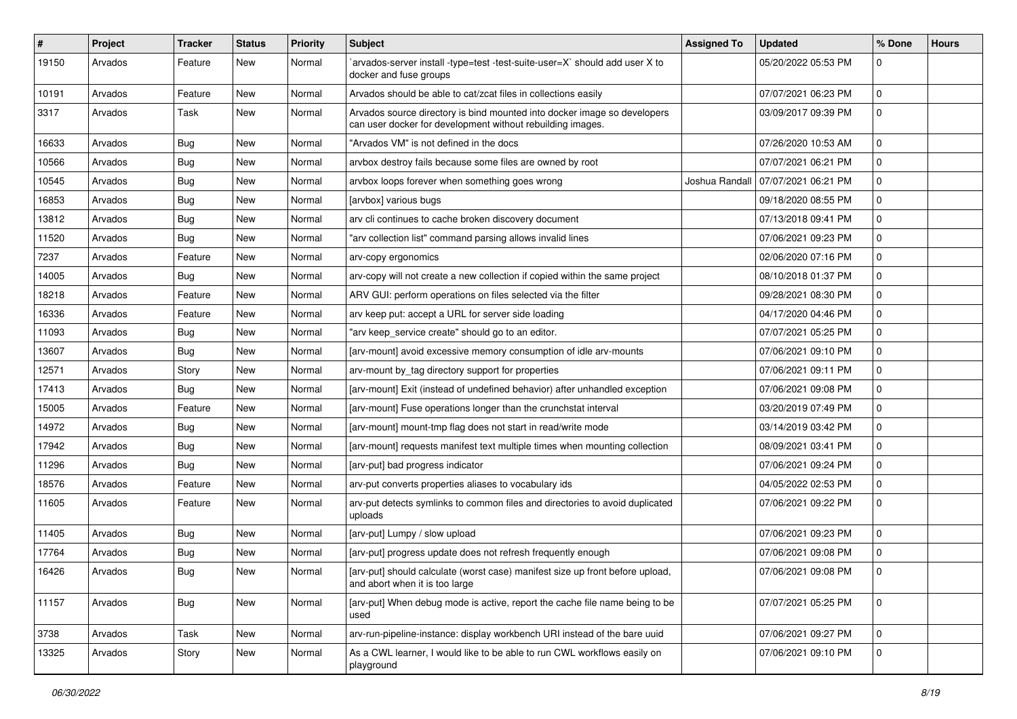| #     | Project | <b>Tracker</b> | <b>Status</b> | <b>Priority</b> | <b>Subject</b>                                                                                                                         | <b>Assigned To</b> | <b>Updated</b>      | % Done      | <b>Hours</b> |
|-------|---------|----------------|---------------|-----------------|----------------------------------------------------------------------------------------------------------------------------------------|--------------------|---------------------|-------------|--------------|
| 19150 | Arvados | Feature        | New           | Normal          | arvados-server install -type=test -test-suite-user=X` should add user X to<br>docker and fuse groups                                   |                    | 05/20/2022 05:53 PM | $\Omega$    |              |
| 10191 | Arvados | Feature        | New           | Normal          | Arvados should be able to cat/zcat files in collections easily                                                                         |                    | 07/07/2021 06:23 PM | 0           |              |
| 3317  | Arvados | Task           | New           | Normal          | Arvados source directory is bind mounted into docker image so developers<br>can user docker for development without rebuilding images. |                    | 03/09/2017 09:39 PM | 0           |              |
| 16633 | Arvados | <b>Bug</b>     | <b>New</b>    | Normal          | "Arvados VM" is not defined in the docs                                                                                                |                    | 07/26/2020 10:53 AM | $\Omega$    |              |
| 10566 | Arvados | <b>Bug</b>     | New           | Normal          | arvbox destroy fails because some files are owned by root                                                                              |                    | 07/07/2021 06:21 PM | $\mathbf 0$ |              |
| 10545 | Arvados | Bug            | New           | Normal          | arvbox loops forever when something goes wrong                                                                                         | Joshua Randall     | 07/07/2021 06:21 PM | 0           |              |
| 16853 | Arvados | <b>Bug</b>     | New           | Normal          | [arvbox] various bugs                                                                                                                  |                    | 09/18/2020 08:55 PM | 0           |              |
| 13812 | Arvados | <b>Bug</b>     | New           | Normal          | arv cli continues to cache broken discovery document                                                                                   |                    | 07/13/2018 09:41 PM | 0           |              |
| 11520 | Arvados | <b>Bug</b>     | New           | Normal          | "arv collection list" command parsing allows invalid lines                                                                             |                    | 07/06/2021 09:23 PM | 0           |              |
| 7237  | Arvados | Feature        | New           | Normal          | arv-copy ergonomics                                                                                                                    |                    | 02/06/2020 07:16 PM | 0           |              |
| 14005 | Arvados | Bug            | New           | Normal          | arv-copy will not create a new collection if copied within the same project                                                            |                    | 08/10/2018 01:37 PM | 0           |              |
| 18218 | Arvados | Feature        | New           | Normal          | ARV GUI: perform operations on files selected via the filter                                                                           |                    | 09/28/2021 08:30 PM | 0           |              |
| 16336 | Arvados | Feature        | New           | Normal          | arv keep put: accept a URL for server side loading                                                                                     |                    | 04/17/2020 04:46 PM | $\mathbf 0$ |              |
| 11093 | Arvados | <b>Bug</b>     | New           | Normal          | "arv keep_service create" should go to an editor.                                                                                      |                    | 07/07/2021 05:25 PM | 0           |              |
| 13607 | Arvados | Bug            | New           | Normal          | [arv-mount] avoid excessive memory consumption of idle arv-mounts                                                                      |                    | 07/06/2021 09:10 PM | 0           |              |
| 12571 | Arvados | Story          | New           | Normal          | arv-mount by_tag directory support for properties                                                                                      |                    | 07/06/2021 09:11 PM | 0           |              |
| 17413 | Arvados | <b>Bug</b>     | New           | Normal          | [arv-mount] Exit (instead of undefined behavior) after unhandled exception                                                             |                    | 07/06/2021 09:08 PM | $\mathbf 0$ |              |
| 15005 | Arvados | Feature        | New           | Normal          | [arv-mount] Fuse operations longer than the crunchstat interval                                                                        |                    | 03/20/2019 07:49 PM | 0           |              |
| 14972 | Arvados | <b>Bug</b>     | New           | Normal          | [arv-mount] mount-tmp flag does not start in read/write mode                                                                           |                    | 03/14/2019 03:42 PM | 0           |              |
| 17942 | Arvados | <b>Bug</b>     | New           | Normal          | [arv-mount] requests manifest text multiple times when mounting collection                                                             |                    | 08/09/2021 03:41 PM | $\mathbf 0$ |              |
| 11296 | Arvados | Bug            | New           | Normal          | [arv-put] bad progress indicator                                                                                                       |                    | 07/06/2021 09:24 PM | 0           |              |
| 18576 | Arvados | Feature        | New           | Normal          | arv-put converts properties aliases to vocabulary ids                                                                                  |                    | 04/05/2022 02:53 PM | 0           |              |
| 11605 | Arvados | Feature        | New           | Normal          | arv-put detects symlinks to common files and directories to avoid duplicated<br>uploads                                                |                    | 07/06/2021 09:22 PM | $\mathbf 0$ |              |
| 11405 | Arvados | <b>Bug</b>     | New           | Normal          | [arv-put] Lumpy / slow upload                                                                                                          |                    | 07/06/2021 09:23 PM | $\mathbf 0$ |              |
| 17764 | Arvados | <b>Bug</b>     | New           | Normal          | [arv-put] progress update does not refresh frequently enough                                                                           |                    | 07/06/2021 09:08 PM | 0           |              |
| 16426 | Arvados | Bug            | New           | Normal          | [arv-put] should calculate (worst case) manifest size up front before upload,<br>and abort when it is too large                        |                    | 07/06/2021 09:08 PM | 0           |              |
| 11157 | Arvados | <b>Bug</b>     | New           | Normal          | [arv-put] When debug mode is active, report the cache file name being to be<br>used                                                    |                    | 07/07/2021 05:25 PM | $\mathbf 0$ |              |
| 3738  | Arvados | Task           | New           | Normal          | arv-run-pipeline-instance: display workbench URI instead of the bare uuid                                                              |                    | 07/06/2021 09:27 PM | 0           |              |
| 13325 | Arvados | Story          | New           | Normal          | As a CWL learner, I would like to be able to run CWL workflows easily on<br>playground                                                 |                    | 07/06/2021 09:10 PM | $\mathsf 0$ |              |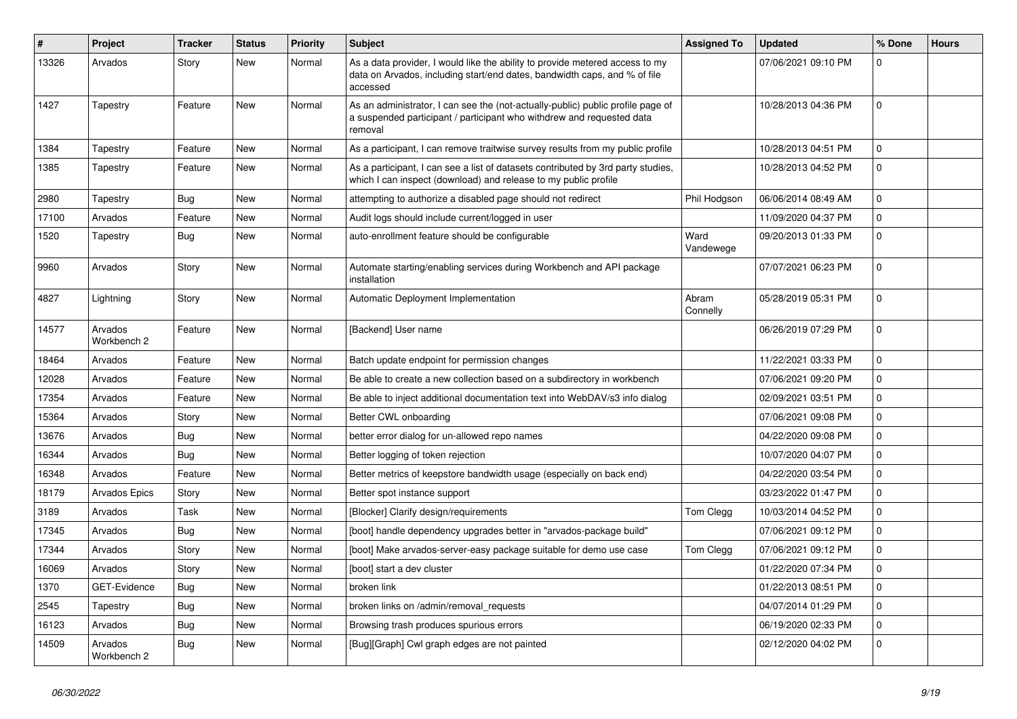| #     | Project                | <b>Tracker</b> | <b>Status</b> | <b>Priority</b> | <b>Subject</b>                                                                                                                                                        | <b>Assigned To</b> | <b>Updated</b>      | % Done       | <b>Hours</b> |
|-------|------------------------|----------------|---------------|-----------------|-----------------------------------------------------------------------------------------------------------------------------------------------------------------------|--------------------|---------------------|--------------|--------------|
| 13326 | Arvados                | Story          | <b>New</b>    | Normal          | As a data provider, I would like the ability to provide metered access to my<br>data on Arvados, including start/end dates, bandwidth caps, and % of file<br>accessed |                    | 07/06/2021 09:10 PM | $\Omega$     |              |
| 1427  | Tapestry               | Feature        | New           | Normal          | As an administrator, I can see the (not-actually-public) public profile page of<br>a suspended participant / participant who withdrew and requested data<br>removal   |                    | 10/28/2013 04:36 PM | $\mathbf 0$  |              |
| 1384  | Tapestry               | Feature        | New           | Normal          | As a participant, I can remove traitwise survey results from my public profile                                                                                        |                    | 10/28/2013 04:51 PM | $\mathbf{0}$ |              |
| 1385  | Tapestry               | Feature        | New           | Normal          | As a participant, I can see a list of datasets contributed by 3rd party studies,<br>which I can inspect (download) and release to my public profile                   |                    | 10/28/2013 04:52 PM | $\mathbf 0$  |              |
| 2980  | Tapestry               | Bug            | New           | Normal          | attempting to authorize a disabled page should not redirect                                                                                                           | Phil Hodgson       | 06/06/2014 08:49 AM | $\Omega$     |              |
| 17100 | Arvados                | Feature        | <b>New</b>    | Normal          | Audit logs should include current/logged in user                                                                                                                      |                    | 11/09/2020 04:37 PM | $\mathbf 0$  |              |
| 1520  | Tapestry               | <b>Bug</b>     | New           | Normal          | auto-enrollment feature should be configurable                                                                                                                        | Ward<br>Vandewege  | 09/20/2013 01:33 PM | $\Omega$     |              |
| 9960  | Arvados                | Story          | New           | Normal          | Automate starting/enabling services during Workbench and API package<br>installation                                                                                  |                    | 07/07/2021 06:23 PM | $\mathbf 0$  |              |
| 4827  | Lightning              | Story          | New           | Normal          | Automatic Deployment Implementation                                                                                                                                   | Abram<br>Connelly  | 05/28/2019 05:31 PM | $\mathbf 0$  |              |
| 14577 | Arvados<br>Workbench 2 | Feature        | New           | Normal          | [Backend] User name                                                                                                                                                   |                    | 06/26/2019 07:29 PM | $\Omega$     |              |
| 18464 | Arvados                | Feature        | New           | Normal          | Batch update endpoint for permission changes                                                                                                                          |                    | 11/22/2021 03:33 PM | $\mathbf 0$  |              |
| 12028 | Arvados                | Feature        | New           | Normal          | Be able to create a new collection based on a subdirectory in workbench                                                                                               |                    | 07/06/2021 09:20 PM | $\mathbf 0$  |              |
| 17354 | Arvados                | Feature        | New           | Normal          | Be able to inject additional documentation text into WebDAV/s3 info dialog                                                                                            |                    | 02/09/2021 03:51 PM | $\mathbf 0$  |              |
| 15364 | Arvados                | Story          | New           | Normal          | Better CWL onboarding                                                                                                                                                 |                    | 07/06/2021 09:08 PM | $\pmb{0}$    |              |
| 13676 | Arvados                | Bug            | New           | Normal          | better error dialog for un-allowed repo names                                                                                                                         |                    | 04/22/2020 09:08 PM | $\pmb{0}$    |              |
| 16344 | Arvados                | Bug            | New           | Normal          | Better logging of token rejection                                                                                                                                     |                    | 10/07/2020 04:07 PM | $\mathbf 0$  |              |
| 16348 | Arvados                | Feature        | New           | Normal          | Better metrics of keepstore bandwidth usage (especially on back end)                                                                                                  |                    | 04/22/2020 03:54 PM | $\mathbf 0$  |              |
| 18179 | <b>Arvados Epics</b>   | Story          | New           | Normal          | Better spot instance support                                                                                                                                          |                    | 03/23/2022 01:47 PM | $\mathbf 0$  |              |
| 3189  | Arvados                | Task           | <b>New</b>    | Normal          | [Blocker] Clarify design/requirements                                                                                                                                 | Tom Clegg          | 10/03/2014 04:52 PM | $\pmb{0}$    |              |
| 17345 | Arvados                | Bug            | New           | Normal          | [boot] handle dependency upgrades better in "arvados-package build"                                                                                                   |                    | 07/06/2021 09:12 PM | $\pmb{0}$    |              |
| 17344 | Arvados                | Story          | New           | Normal          | [boot] Make arvados-server-easy package suitable for demo use case                                                                                                    | Tom Clegg          | 07/06/2021 09:12 PM | $\mathbf 0$  |              |
| 16069 | Arvados                | Story          | New           | Normal          | [boot] start a dev cluster                                                                                                                                            |                    | 01/22/2020 07:34 PM | $\mathbf 0$  |              |
| 1370  | GET-Evidence           | Bug            | New           | Normal          | broken link                                                                                                                                                           |                    | 01/22/2013 08:51 PM | $\mathbf 0$  |              |
| 2545  | Tapestry               | <b>Bug</b>     | <b>New</b>    | Normal          | broken links on /admin/removal_requests                                                                                                                               |                    | 04/07/2014 01:29 PM | $\mathbf 0$  |              |
| 16123 | Arvados                | Bug            | New           | Normal          | Browsing trash produces spurious errors                                                                                                                               |                    | 06/19/2020 02:33 PM | $\mathbf 0$  |              |
| 14509 | Arvados<br>Workbench 2 | Bug            | New           | Normal          | [Bug][Graph] Cwl graph edges are not painted                                                                                                                          |                    | 02/12/2020 04:02 PM | $\mathbf 0$  |              |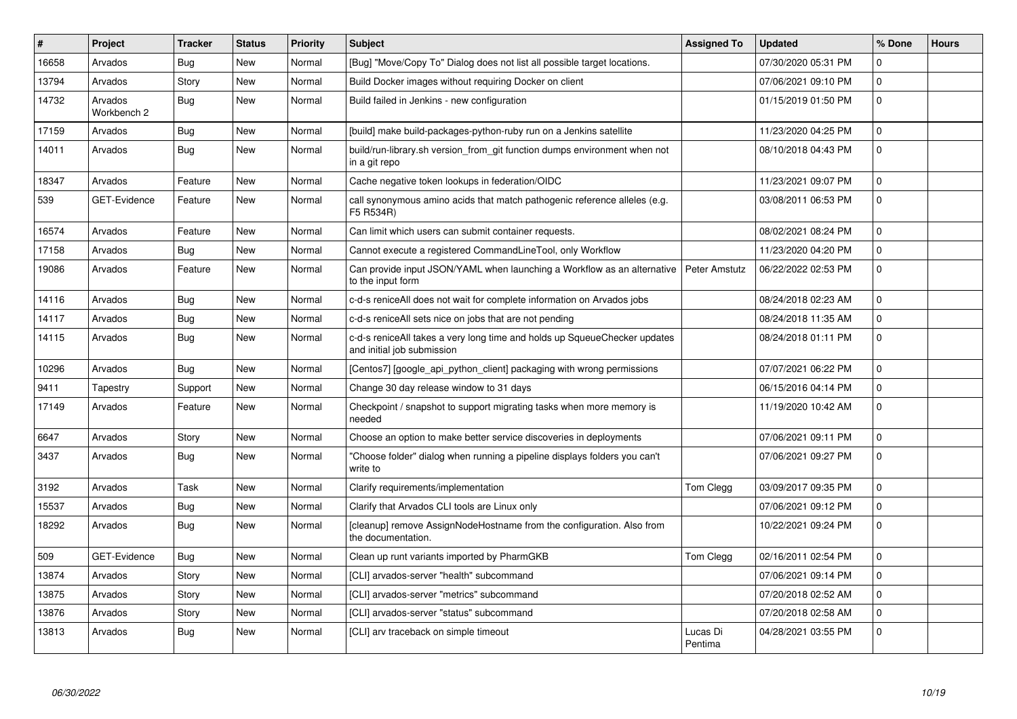| $\#$  | Project                | <b>Tracker</b> | <b>Status</b> | Priority | <b>Subject</b>                                                                                          | <b>Assigned To</b>  | <b>Updated</b>      | % Done      | <b>Hours</b> |
|-------|------------------------|----------------|---------------|----------|---------------------------------------------------------------------------------------------------------|---------------------|---------------------|-------------|--------------|
| 16658 | Arvados                | Bug            | <b>New</b>    | Normal   | [Bug] "Move/Copy To" Dialog does not list all possible target locations.                                |                     | 07/30/2020 05:31 PM | $\Omega$    |              |
| 13794 | Arvados                | Story          | <b>New</b>    | Normal   | Build Docker images without requiring Docker on client                                                  |                     | 07/06/2021 09:10 PM | $\Omega$    |              |
| 14732 | Arvados<br>Workbench 2 | Bug            | New           | Normal   | Build failed in Jenkins - new configuration                                                             |                     | 01/15/2019 01:50 PM | $\mathbf 0$ |              |
| 17159 | Arvados                | Bug            | <b>New</b>    | Normal   | [build] make build-packages-python-ruby run on a Jenkins satellite                                      |                     | 11/23/2020 04:25 PM | $\Omega$    |              |
| 14011 | Arvados                | Bug            | <b>New</b>    | Normal   | build/run-library.sh version from git function dumps environment when not<br>in a git repo              |                     | 08/10/2018 04:43 PM | $\Omega$    |              |
| 18347 | Arvados                | Feature        | <b>New</b>    | Normal   | Cache negative token lookups in federation/OIDC                                                         |                     | 11/23/2021 09:07 PM | $\Omega$    |              |
| 539   | <b>GET-Evidence</b>    | Feature        | New           | Normal   | call synonymous amino acids that match pathogenic reference alleles (e.g.<br>F5 R534R)                  |                     | 03/08/2011 06:53 PM | $\Omega$    |              |
| 16574 | Arvados                | Feature        | <b>New</b>    | Normal   | Can limit which users can submit container requests.                                                    |                     | 08/02/2021 08:24 PM | $\Omega$    |              |
| 17158 | Arvados                | Bug            | <b>New</b>    | Normal   | Cannot execute a registered CommandLineTool, only Workflow                                              |                     | 11/23/2020 04:20 PM | $\mathbf 0$ |              |
| 19086 | Arvados                | Feature        | New           | Normal   | Can provide input JSON/YAML when launching a Workflow as an alternative<br>to the input form            | Peter Amstutz       | 06/22/2022 02:53 PM | 0           |              |
| 14116 | Arvados                | <b>Bug</b>     | <b>New</b>    | Normal   | c-d-s reniceAll does not wait for complete information on Arvados jobs                                  |                     | 08/24/2018 02:23 AM | $\Omega$    |              |
| 14117 | Arvados                | <b>Bug</b>     | <b>New</b>    | Normal   | c-d-s reniceAll sets nice on jobs that are not pending                                                  |                     | 08/24/2018 11:35 AM | 0           |              |
| 14115 | Arvados                | Bug            | New           | Normal   | c-d-s reniceAll takes a very long time and holds up SqueueChecker updates<br>and initial job submission |                     | 08/24/2018 01:11 PM | $\Omega$    |              |
| 10296 | Arvados                | Bug            | New           | Normal   | [Centos7] [google_api_python_client] packaging with wrong permissions                                   |                     | 07/07/2021 06:22 PM | 0           |              |
| 9411  | Tapestry               | Support        | New           | Normal   | Change 30 day release window to 31 days                                                                 |                     | 06/15/2016 04:14 PM | $\mathbf 0$ |              |
| 17149 | Arvados                | Feature        | New           | Normal   | Checkpoint / snapshot to support migrating tasks when more memory is<br>needed                          |                     | 11/19/2020 10:42 AM | $\mathbf 0$ |              |
| 6647  | Arvados                | Story          | <b>New</b>    | Normal   | Choose an option to make better service discoveries in deployments                                      |                     | 07/06/2021 09:11 PM | $\mathbf 0$ |              |
| 3437  | Arvados                | <b>Bug</b>     | New           | Normal   | 'Choose folder" dialog when running a pipeline displays folders you can't<br>write to                   |                     | 07/06/2021 09:27 PM | $\Omega$    |              |
| 3192  | Arvados                | Task           | <b>New</b>    | Normal   | Clarify requirements/implementation                                                                     | Tom Clegg           | 03/09/2017 09:35 PM | $\Omega$    |              |
| 15537 | Arvados                | <b>Bug</b>     | New           | Normal   | Clarify that Arvados CLI tools are Linux only                                                           |                     | 07/06/2021 09:12 PM | $\mathbf 0$ |              |
| 18292 | Arvados                | Bug            | <b>New</b>    | Normal   | [cleanup] remove AssignNodeHostname from the configuration. Also from<br>the documentation.             |                     | 10/22/2021 09:24 PM | $\mathbf 0$ |              |
| 509   | <b>GET-Evidence</b>    | Bug            | New           | Normal   | Clean up runt variants imported by PharmGKB                                                             | Tom Clegg           | 02/16/2011 02:54 PM | $\mathbf 0$ |              |
| 13874 | Arvados                | Story          | <b>New</b>    | Normal   | [CLI] arvados-server "health" subcommand                                                                |                     | 07/06/2021 09:14 PM | $\mathbf 0$ |              |
| 13875 | Arvados                | Story          | <b>New</b>    | Normal   | [CLI] arvados-server "metrics" subcommand                                                               |                     | 07/20/2018 02:52 AM | 0           |              |
| 13876 | Arvados                | Story          | New           | Normal   | [CLI] arvados-server "status" subcommand                                                                |                     | 07/20/2018 02:58 AM | $\Omega$    |              |
| 13813 | Arvados                | Bug            | New           | Normal   | [CLI] arv traceback on simple timeout                                                                   | Lucas Di<br>Pentima | 04/28/2021 03:55 PM | $\Omega$    |              |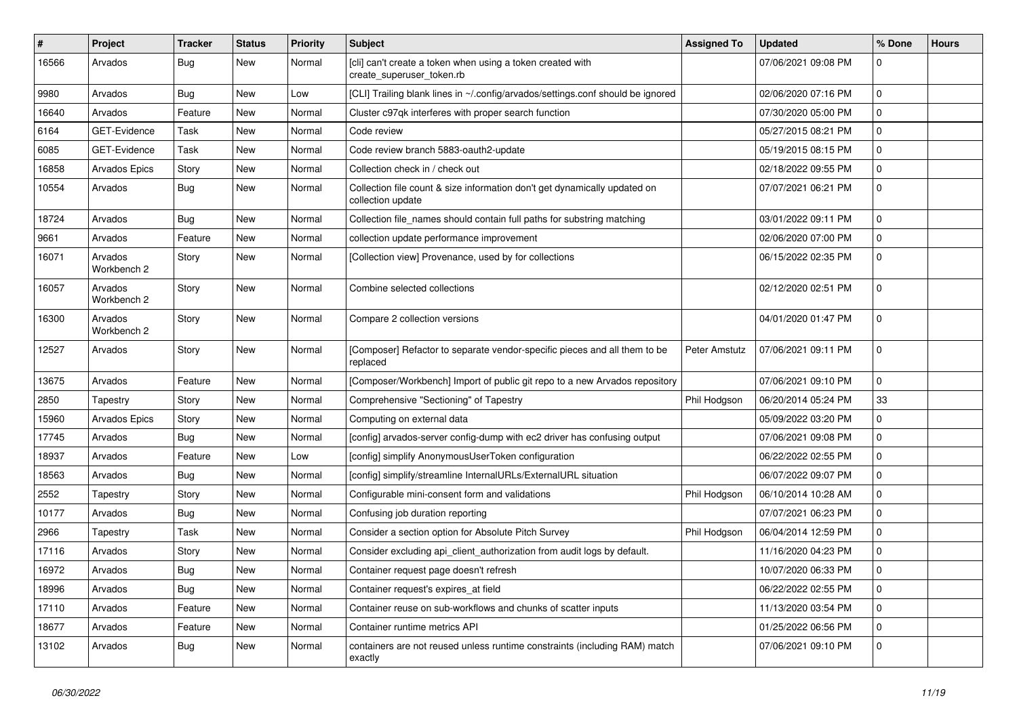| $\#$  | Project                | <b>Tracker</b> | <b>Status</b> | Priority | <b>Subject</b>                                                                                 | <b>Assigned To</b> | <b>Updated</b>      | % Done         | <b>Hours</b> |
|-------|------------------------|----------------|---------------|----------|------------------------------------------------------------------------------------------------|--------------------|---------------------|----------------|--------------|
| 16566 | Arvados                | <b>Bug</b>     | New           | Normal   | [cli] can't create a token when using a token created with<br>create_superuser_token.rb        |                    | 07/06/2021 09:08 PM | 0              |              |
| 9980  | Arvados                | <b>Bug</b>     | New           | Low      | [CLI] Trailing blank lines in ~/.config/arvados/settings.conf should be ignored                |                    | 02/06/2020 07:16 PM | $\mathbf 0$    |              |
| 16640 | Arvados                | Feature        | New           | Normal   | Cluster c97qk interferes with proper search function                                           |                    | 07/30/2020 05:00 PM | $\mathbf 0$    |              |
| 6164  | GET-Evidence           | Task           | New           | Normal   | Code review                                                                                    |                    | 05/27/2015 08:21 PM | $\mathbf{0}$   |              |
| 6085  | GET-Evidence           | Task           | New           | Normal   | Code review branch 5883-oauth2-update                                                          |                    | 05/19/2015 08:15 PM | $\mathbf 0$    |              |
| 16858 | Arvados Epics          | Story          | New           | Normal   | Collection check in / check out                                                                |                    | 02/18/2022 09:55 PM | 0              |              |
| 10554 | Arvados                | Bug            | New           | Normal   | Collection file count & size information don't get dynamically updated on<br>collection update |                    | 07/07/2021 06:21 PM | 0              |              |
| 18724 | Arvados                | Bug            | <b>New</b>    | Normal   | Collection file_names should contain full paths for substring matching                         |                    | 03/01/2022 09:11 PM | $\mathbf 0$    |              |
| 9661  | Arvados                | Feature        | New           | Normal   | collection update performance improvement                                                      |                    | 02/06/2020 07:00 PM | 0              |              |
| 16071 | Arvados<br>Workbench 2 | Story          | New           | Normal   | [Collection view] Provenance, used by for collections                                          |                    | 06/15/2022 02:35 PM | $\mathbf 0$    |              |
| 16057 | Arvados<br>Workbench 2 | Story          | New           | Normal   | Combine selected collections                                                                   |                    | 02/12/2020 02:51 PM | $\Omega$       |              |
| 16300 | Arvados<br>Workbench 2 | Story          | New           | Normal   | Compare 2 collection versions                                                                  |                    | 04/01/2020 01:47 PM | $\mathbf 0$    |              |
| 12527 | Arvados                | Story          | New           | Normal   | [Composer] Refactor to separate vendor-specific pieces and all them to be<br>replaced          | Peter Amstutz      | 07/06/2021 09:11 PM | $\mathbf 0$    |              |
| 13675 | Arvados                | Feature        | New           | Normal   | [Composer/Workbench] Import of public git repo to a new Arvados repository                     |                    | 07/06/2021 09:10 PM | 0              |              |
| 2850  | Tapestry               | Story          | New           | Normal   | Comprehensive "Sectioning" of Tapestry                                                         | Phil Hodgson       | 06/20/2014 05:24 PM | 33             |              |
| 15960 | Arvados Epics          | Story          | New           | Normal   | Computing on external data                                                                     |                    | 05/09/2022 03:20 PM | $\mathbf 0$    |              |
| 17745 | Arvados                | Bug            | New           | Normal   | [config] arvados-server config-dump with ec2 driver has confusing output                       |                    | 07/06/2021 09:08 PM | $\mathbf 0$    |              |
| 18937 | Arvados                | Feature        | New           | Low      | [config] simplify AnonymousUserToken configuration                                             |                    | 06/22/2022 02:55 PM | $\mathbf 0$    |              |
| 18563 | Arvados                | <b>Bug</b>     | New           | Normal   | [config] simplify/streamline InternalURLs/ExternalURL situation                                |                    | 06/07/2022 09:07 PM | $\mathbf 0$    |              |
| 2552  | Tapestry               | Story          | New           | Normal   | Configurable mini-consent form and validations                                                 | Phil Hodgson       | 06/10/2014 10:28 AM | $\mathbf 0$    |              |
| 10177 | Arvados                | <b>Bug</b>     | New           | Normal   | Confusing job duration reporting                                                               |                    | 07/07/2021 06:23 PM | 0              |              |
| 2966  | Tapestry               | Task           | New           | Normal   | Consider a section option for Absolute Pitch Survey                                            | Phil Hodgson       | 06/04/2014 12:59 PM | $\mathbf 0$    |              |
| 17116 | Arvados                | Story          | New           | Normal   | Consider excluding api_client_authorization from audit logs by default.                        |                    | 11/16/2020 04:23 PM | $\mathbf 0$    |              |
| 16972 | Arvados                | Bug            | New           | Normal   | Container request page doesn't refresh                                                         |                    | 10/07/2020 06:33 PM | $\Omega$       |              |
| 18996 | Arvados                | Bug            | New           | Normal   | Container request's expires_at field                                                           |                    | 06/22/2022 02:55 PM | $\mathbf 0$    |              |
| 17110 | Arvados                | Feature        | New           | Normal   | Container reuse on sub-workflows and chunks of scatter inputs                                  |                    | 11/13/2020 03:54 PM | $\mathbf 0$    |              |
| 18677 | Arvados                | Feature        | New           | Normal   | Container runtime metrics API                                                                  |                    | 01/25/2022 06:56 PM | $\mathbf 0$    |              |
| 13102 | Arvados                | <b>Bug</b>     | New           | Normal   | containers are not reused unless runtime constraints (including RAM) match<br>exactly          |                    | 07/06/2021 09:10 PM | $\overline{0}$ |              |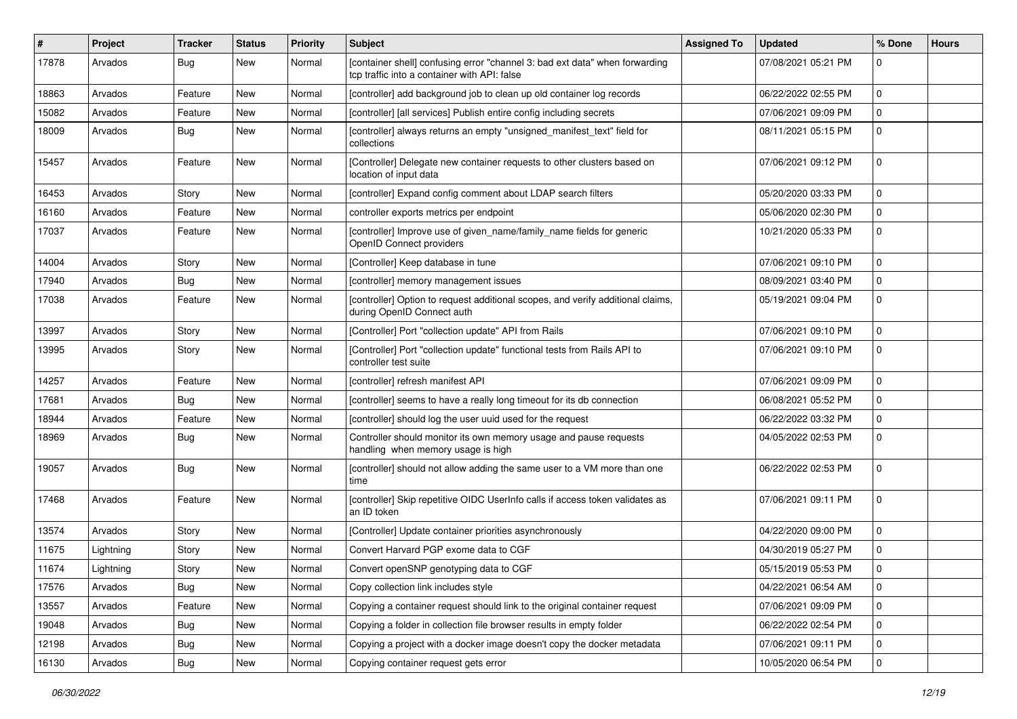| #     | Project   | <b>Tracker</b> | <b>Status</b> | Priority | <b>Subject</b>                                                                                                              | <b>Assigned To</b> | <b>Updated</b>      | % Done         | <b>Hours</b> |
|-------|-----------|----------------|---------------|----------|-----------------------------------------------------------------------------------------------------------------------------|--------------------|---------------------|----------------|--------------|
| 17878 | Arvados   | <b>Bug</b>     | New           | Normal   | [container shell] confusing error "channel 3: bad ext data" when forwarding<br>tcp traffic into a container with API: false |                    | 07/08/2021 05:21 PM | $\Omega$       |              |
| 18863 | Arvados   | Feature        | New           | Normal   | [controller] add background job to clean up old container log records                                                       |                    | 06/22/2022 02:55 PM | $\mathbf 0$    |              |
| 15082 | Arvados   | Feature        | New           | Normal   | [controller] [all services] Publish entire config including secrets                                                         |                    | 07/06/2021 09:09 PM | $\overline{0}$ |              |
| 18009 | Arvados   | Bug            | New           | Normal   | [controller] always returns an empty "unsigned_manifest_text" field for<br>collections                                      |                    | 08/11/2021 05:15 PM | $\mathbf{0}$   |              |
| 15457 | Arvados   | Feature        | New           | Normal   | [Controller] Delegate new container requests to other clusters based on<br>location of input data                           |                    | 07/06/2021 09:12 PM | $\mathbf 0$    |              |
| 16453 | Arvados   | Story          | New           | Normal   | [controller] Expand config comment about LDAP search filters                                                                |                    | 05/20/2020 03:33 PM | $\mathbf 0$    |              |
| 16160 | Arvados   | Feature        | New           | Normal   | controller exports metrics per endpoint                                                                                     |                    | 05/06/2020 02:30 PM | $\mathbf 0$    |              |
| 17037 | Arvados   | Feature        | New           | Normal   | [controller] Improve use of given_name/family_name fields for generic<br>OpenID Connect providers                           |                    | 10/21/2020 05:33 PM | $\mathbf 0$    |              |
| 14004 | Arvados   | Story          | New           | Normal   | [Controller] Keep database in tune                                                                                          |                    | 07/06/2021 09:10 PM | $\mathbf 0$    |              |
| 17940 | Arvados   | Bug            | New           | Normal   | [controller] memory management issues                                                                                       |                    | 08/09/2021 03:40 PM | $\mathbf 0$    |              |
| 17038 | Arvados   | Feature        | New           | Normal   | [controller] Option to request additional scopes, and verify additional claims,<br>during OpenID Connect auth               |                    | 05/19/2021 09:04 PM | $\mathbf 0$    |              |
| 13997 | Arvados   | Story          | New           | Normal   | [Controller] Port "collection update" API from Rails                                                                        |                    | 07/06/2021 09:10 PM | $\mathbf 0$    |              |
| 13995 | Arvados   | Story          | New           | Normal   | [Controller] Port "collection update" functional tests from Rails API to<br>controller test suite                           |                    | 07/06/2021 09:10 PM | $\mathbf 0$    |              |
| 14257 | Arvados   | Feature        | New           | Normal   | [controller] refresh manifest API                                                                                           |                    | 07/06/2021 09:09 PM | 0              |              |
| 17681 | Arvados   | Bug            | New           | Normal   | [controller] seems to have a really long timeout for its db connection                                                      |                    | 06/08/2021 05:52 PM | $\mathbf{0}$   |              |
| 18944 | Arvados   | Feature        | New           | Normal   | [controller] should log the user uuid used for the request                                                                  |                    | 06/22/2022 03:32 PM | $\mathbf 0$    |              |
| 18969 | Arvados   | Bug            | New           | Normal   | Controller should monitor its own memory usage and pause requests<br>handling when memory usage is high                     |                    | 04/05/2022 02:53 PM | $\mathbf 0$    |              |
| 19057 | Arvados   | Bug            | New           | Normal   | [controller] should not allow adding the same user to a VM more than one<br>time                                            |                    | 06/22/2022 02:53 PM | $\mathbf 0$    |              |
| 17468 | Arvados   | Feature        | New           | Normal   | [controller] Skip repetitive OIDC UserInfo calls if access token validates as<br>an ID token                                |                    | 07/06/2021 09:11 PM | $\mathbf 0$    |              |
| 13574 | Arvados   | Story          | New           | Normal   | [Controller] Update container priorities asynchronously                                                                     |                    | 04/22/2020 09:00 PM | $\mathbf 0$    |              |
| 11675 | Lightning | Story          | New           | Normal   | Convert Harvard PGP exome data to CGF                                                                                       |                    | 04/30/2019 05:27 PM | 0              |              |
| 11674 | Lightning | Story          | New           | Normal   | Convert openSNP genotyping data to CGF                                                                                      |                    | 05/15/2019 05:53 PM | $\mathbf 0$    |              |
| 17576 | Arvados   | Bug            | New           | Normal   | Copy collection link includes style                                                                                         |                    | 04/22/2021 06:54 AM | $\overline{0}$ |              |
| 13557 | Arvados   | Feature        | New           | Normal   | Copying a container request should link to the original container request                                                   |                    | 07/06/2021 09:09 PM | $\mathbf 0$    |              |
| 19048 | Arvados   | <b>Bug</b>     | New           | Normal   | Copying a folder in collection file browser results in empty folder                                                         |                    | 06/22/2022 02:54 PM | $\overline{0}$ |              |
| 12198 | Arvados   | <b>Bug</b>     | New           | Normal   | Copying a project with a docker image doesn't copy the docker metadata                                                      |                    | 07/06/2021 09:11 PM | 0              |              |
| 16130 | Arvados   | Bug            | New           | Normal   | Copying container request gets error                                                                                        |                    | 10/05/2020 06:54 PM | $\overline{0}$ |              |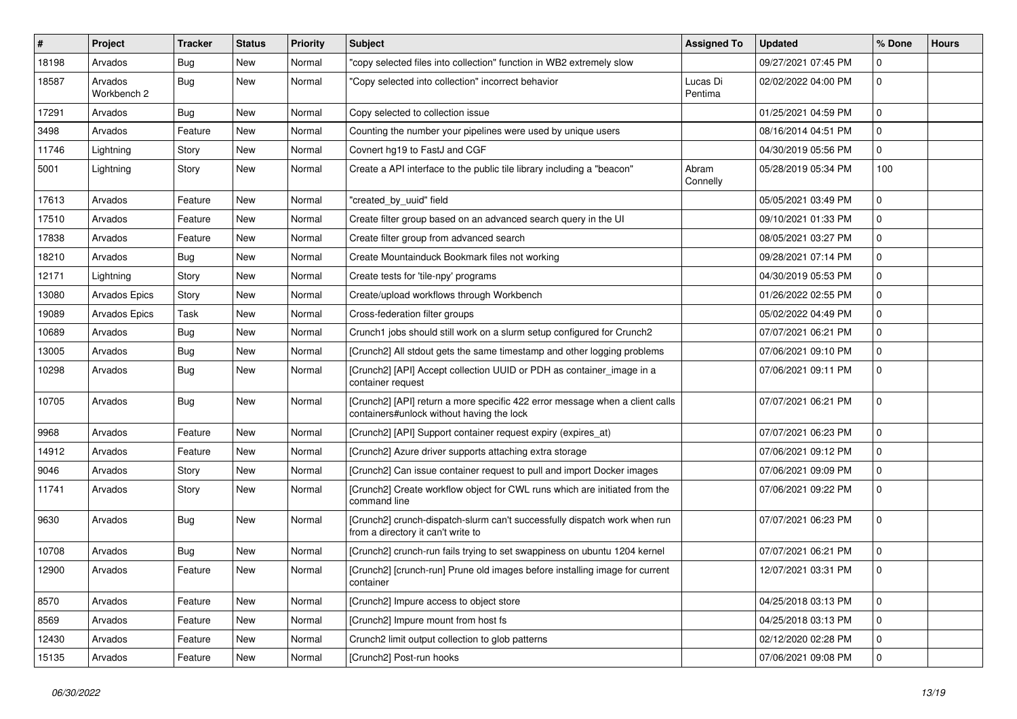| $\sharp$ | Project                | <b>Tracker</b> | <b>Status</b> | <b>Priority</b> | <b>Subject</b>                                                                                                            | <b>Assigned To</b>  | <b>Updated</b>      | % Done         | <b>Hours</b> |
|----------|------------------------|----------------|---------------|-----------------|---------------------------------------------------------------------------------------------------------------------------|---------------------|---------------------|----------------|--------------|
| 18198    | Arvados                | <b>Bug</b>     | New           | Normal          | 'copy selected files into collection" function in WB2 extremely slow                                                      |                     | 09/27/2021 07:45 PM | 0              |              |
| 18587    | Arvados<br>Workbench 2 | <b>Bug</b>     | New           | Normal          | 'Copy selected into collection" incorrect behavior                                                                        | Lucas Di<br>Pentima | 02/02/2022 04:00 PM | $\mathbf 0$    |              |
| 17291    | Arvados                | Bug            | New           | Normal          | Copy selected to collection issue                                                                                         |                     | 01/25/2021 04:59 PM | $\mathbf 0$    |              |
| 3498     | Arvados                | Feature        | New           | Normal          | Counting the number your pipelines were used by unique users                                                              |                     | 08/16/2014 04:51 PM | $\mathbf{0}$   |              |
| 11746    | Lightning              | Story          | New           | Normal          | Covnert hg19 to FastJ and CGF                                                                                             |                     | 04/30/2019 05:56 PM | 0              |              |
| 5001     | Lightning              | Story          | New           | Normal          | Create a API interface to the public tile library including a "beacon"                                                    | Abram<br>Connelly   | 05/28/2019 05:34 PM | 100            |              |
| 17613    | Arvados                | Feature        | New           | Normal          | "created_by_uuid" field                                                                                                   |                     | 05/05/2021 03:49 PM | $\mathbf 0$    |              |
| 17510    | Arvados                | Feature        | New           | Normal          | Create filter group based on an advanced search query in the UI                                                           |                     | 09/10/2021 01:33 PM | $\mathbf 0$    |              |
| 17838    | Arvados                | Feature        | New           | Normal          | Create filter group from advanced search                                                                                  |                     | 08/05/2021 03:27 PM | $\mathbf 0$    |              |
| 18210    | Arvados                | Bug            | New           | Normal          | Create Mountainduck Bookmark files not working                                                                            |                     | 09/28/2021 07:14 PM | $\mathbf 0$    |              |
| 12171    | Lightning              | Story          | New           | Normal          | Create tests for 'tile-npy' programs                                                                                      |                     | 04/30/2019 05:53 PM | $\mathbf 0$    |              |
| 13080    | <b>Arvados Epics</b>   | Story          | New           | Normal          | Create/upload workflows through Workbench                                                                                 |                     | 01/26/2022 02:55 PM | $\mathbf 0$    |              |
| 19089    | Arvados Epics          | Task           | New           | Normal          | Cross-federation filter groups                                                                                            |                     | 05/02/2022 04:49 PM | $\mathbf 0$    |              |
| 10689    | Arvados                | <b>Bug</b>     | New           | Normal          | Crunch1 jobs should still work on a slurm setup configured for Crunch2                                                    |                     | 07/07/2021 06:21 PM | $\mathbf 0$    |              |
| 13005    | Arvados                | Bug            | New           | Normal          | [Crunch2] All stdout gets the same timestamp and other logging problems                                                   |                     | 07/06/2021 09:10 PM | $\mathbf 0$    |              |
| 10298    | Arvados                | Bug            | New           | Normal          | [Crunch2] [API] Accept collection UUID or PDH as container_image in a<br>container request                                |                     | 07/06/2021 09:11 PM | 0              |              |
| 10705    | Arvados                | Bug            | New           | Normal          | [Crunch2] [API] return a more specific 422 error message when a client calls<br>containers#unlock without having the lock |                     | 07/07/2021 06:21 PM | $\mathbf 0$    |              |
| 9968     | Arvados                | Feature        | New           | Normal          | [Crunch2] [API] Support container request expiry (expires_at)                                                             |                     | 07/07/2021 06:23 PM | $\mathbf 0$    |              |
| 14912    | Arvados                | Feature        | New           | Normal          | [Crunch2] Azure driver supports attaching extra storage                                                                   |                     | 07/06/2021 09:12 PM | $\mathbf 0$    |              |
| 9046     | Arvados                | Story          | New           | Normal          | [Crunch2] Can issue container request to pull and import Docker images                                                    |                     | 07/06/2021 09:09 PM | $\mathbf 0$    |              |
| 11741    | Arvados                | Story          | New           | Normal          | [Crunch2] Create workflow object for CWL runs which are initiated from the<br>command line                                |                     | 07/06/2021 09:22 PM | $\mathbf 0$    |              |
| 9630     | Arvados                | Bug            | New           | Normal          | [Crunch2] crunch-dispatch-slurm can't successfully dispatch work when run<br>from a directory it can't write to           |                     | 07/07/2021 06:23 PM | $\mathbf 0$    |              |
| 10708    | Arvados                | Bug            | <b>New</b>    | Normal          | [Crunch2] crunch-run fails trying to set swappiness on ubuntu 1204 kernel                                                 |                     | 07/07/2021 06:21 PM | $\mathbf 0$    |              |
| 12900    | Arvados                | Feature        | New           | Normal          | [Crunch2] [crunch-run] Prune old images before installing image for current<br>container                                  |                     | 12/07/2021 03:31 PM | 0              |              |
| 8570     | Arvados                | Feature        | New           | Normal          | [Crunch2] Impure access to object store                                                                                   |                     | 04/25/2018 03:13 PM | $\mathbf 0$    |              |
| 8569     | Arvados                | Feature        | New           | Normal          | [Crunch2] Impure mount from host fs                                                                                       |                     | 04/25/2018 03:13 PM | $\mathbf 0$    |              |
| 12430    | Arvados                | Feature        | New           | Normal          | Crunch2 limit output collection to glob patterns                                                                          |                     | 02/12/2020 02:28 PM | $\overline{0}$ |              |
| 15135    | Arvados                | Feature        | New           | Normal          | [Crunch2] Post-run hooks                                                                                                  |                     | 07/06/2021 09:08 PM | $\overline{0}$ |              |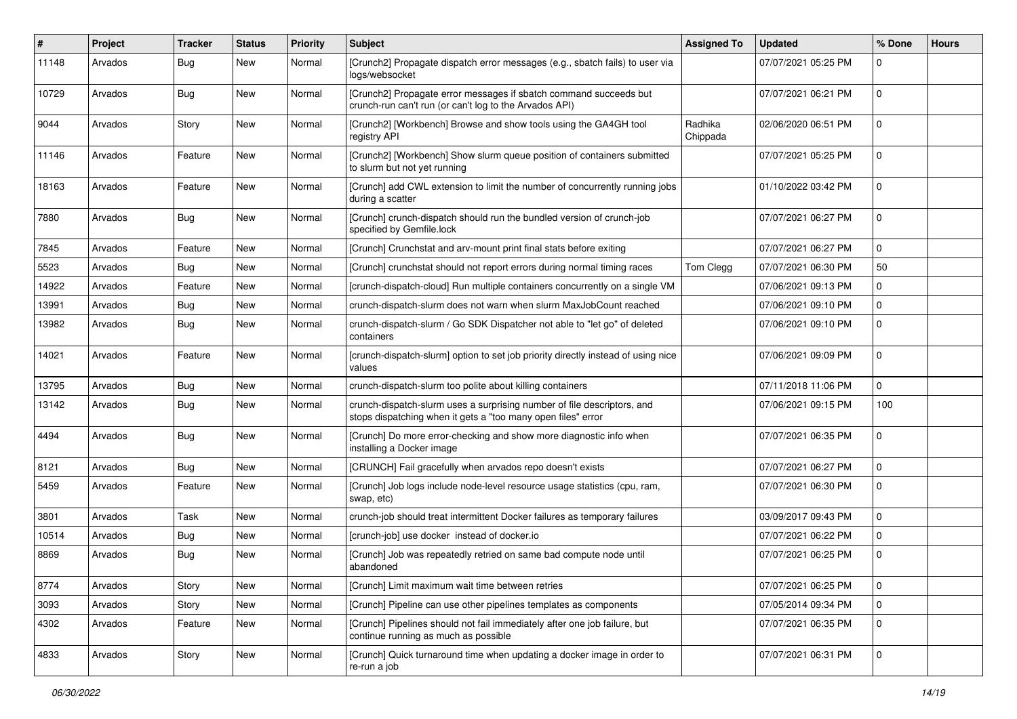| ∦     | Project | <b>Tracker</b> | <b>Status</b> | Priority | <b>Subject</b>                                                                                                                          | <b>Assigned To</b>  | <b>Updated</b>      | % Done      | <b>Hours</b> |
|-------|---------|----------------|---------------|----------|-----------------------------------------------------------------------------------------------------------------------------------------|---------------------|---------------------|-------------|--------------|
| 11148 | Arvados | Bug            | New           | Normal   | [Crunch2] Propagate dispatch error messages (e.g., sbatch fails) to user via<br>logs/websocket                                          |                     | 07/07/2021 05:25 PM | $\Omega$    |              |
| 10729 | Arvados | Bug            | <b>New</b>    | Normal   | [Crunch2] Propagate error messages if sbatch command succeeds but<br>crunch-run can't run (or can't log to the Arvados API)             |                     | 07/07/2021 06:21 PM | $\Omega$    |              |
| 9044  | Arvados | Story          | New           | Normal   | [Crunch2] [Workbench] Browse and show tools using the GA4GH tool<br>registry API                                                        | Radhika<br>Chippada | 02/06/2020 06:51 PM | $\mathbf 0$ |              |
| 11146 | Arvados | Feature        | New           | Normal   | [Crunch2] [Workbench] Show slurm queue position of containers submitted<br>to slurm but not yet running                                 |                     | 07/07/2021 05:25 PM | $\Omega$    |              |
| 18163 | Arvados | Feature        | New           | Normal   | [Crunch] add CWL extension to limit the number of concurrently running jobs<br>during a scatter                                         |                     | 01/10/2022 03:42 PM | $\Omega$    |              |
| 7880  | Arvados | Bug            | New           | Normal   | [Crunch] crunch-dispatch should run the bundled version of crunch-job<br>specified by Gemfile.lock                                      |                     | 07/07/2021 06:27 PM | 0           |              |
| 7845  | Arvados | Feature        | New           | Normal   | [Crunch] Crunchstat and arv-mount print final stats before exiting                                                                      |                     | 07/07/2021 06:27 PM | $\mathbf 0$ |              |
| 5523  | Arvados | <b>Bug</b>     | New           | Normal   | [Crunch] crunchstat should not report errors during normal timing races                                                                 | Tom Clegg           | 07/07/2021 06:30 PM | 50          |              |
| 14922 | Arvados | Feature        | New           | Normal   | [crunch-dispatch-cloud] Run multiple containers concurrently on a single VM                                                             |                     | 07/06/2021 09:13 PM | 0           |              |
| 13991 | Arvados | Bug            | New           | Normal   | crunch-dispatch-slurm does not warn when slurm MaxJobCount reached                                                                      |                     | 07/06/2021 09:10 PM | 0           |              |
| 13982 | Arvados | Bug            | New           | Normal   | crunch-dispatch-slurm / Go SDK Dispatcher not able to "let go" of deleted<br>containers                                                 |                     | 07/06/2021 09:10 PM | $\mathbf 0$ |              |
| 14021 | Arvados | Feature        | New           | Normal   | [crunch-dispatch-slurm] option to set job priority directly instead of using nice<br>values                                             |                     | 07/06/2021 09:09 PM | 0           |              |
| 13795 | Arvados | Bug            | New           | Normal   | crunch-dispatch-slurm too polite about killing containers                                                                               |                     | 07/11/2018 11:06 PM | $\mathbf 0$ |              |
| 13142 | Arvados | Bug            | New           | Normal   | crunch-dispatch-slurm uses a surprising number of file descriptors, and<br>stops dispatching when it gets a "too many open files" error |                     | 07/06/2021 09:15 PM | 100         |              |
| 4494  | Arvados | Bug            | New           | Normal   | [Crunch] Do more error-checking and show more diagnostic info when<br>installing a Docker image                                         |                     | 07/07/2021 06:35 PM | $\mathbf 0$ |              |
| 8121  | Arvados | Bug            | New           | Normal   | [CRUNCH] Fail gracefully when arvados repo doesn't exists                                                                               |                     | 07/07/2021 06:27 PM | $\Omega$    |              |
| 5459  | Arvados | Feature        | New           | Normal   | [Crunch] Job logs include node-level resource usage statistics (cpu, ram,<br>swap, etc)                                                 |                     | 07/07/2021 06:30 PM | $\mathbf 0$ |              |
| 3801  | Arvados | Task           | <b>New</b>    | Normal   | crunch-job should treat intermittent Docker failures as temporary failures                                                              |                     | 03/09/2017 09:43 PM | $\Omega$    |              |
| 10514 | Arvados | Bug            | New           | Normal   | [crunch-job] use docker instead of docker.io                                                                                            |                     | 07/07/2021 06:22 PM | 0           |              |
| 8869  | Arvados | <b>Bug</b>     | New           | Normal   | [Crunch] Job was repeatedly retried on same bad compute node until<br>abandoned                                                         |                     | 07/07/2021 06:25 PM | 0           |              |
| 8774  | Arvados | Story          | New           | Normal   | [Crunch] Limit maximum wait time between retries                                                                                        |                     | 07/07/2021 06:25 PM | 0           |              |
| 3093  | Arvados | Story          | New           | Normal   | [Crunch] Pipeline can use other pipelines templates as components                                                                       |                     | 07/05/2014 09:34 PM | 0           |              |
| 4302  | Arvados | Feature        | New           | Normal   | [Crunch] Pipelines should not fail immediately after one job failure, but<br>continue running as much as possible                       |                     | 07/07/2021 06:35 PM | 0           |              |
| 4833  | Arvados | Story          | New           | Normal   | [Crunch] Quick turnaround time when updating a docker image in order to<br>re-run a job                                                 |                     | 07/07/2021 06:31 PM | $\mathbf 0$ |              |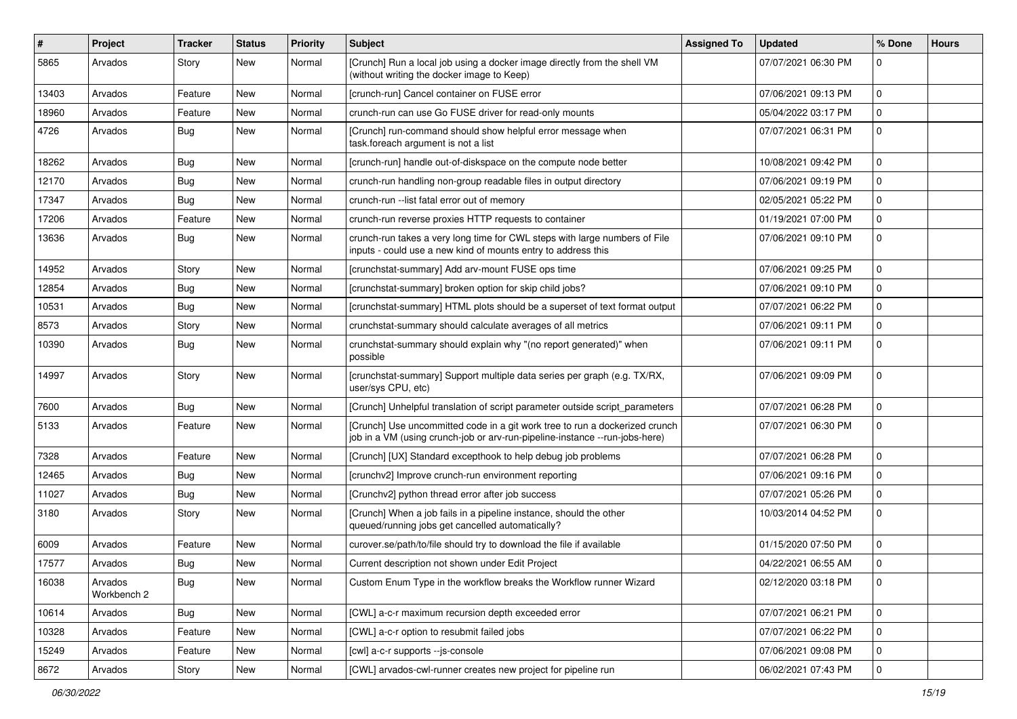| ∦     | Project                | <b>Tracker</b> | <b>Status</b> | Priority | <b>Subject</b>                                                                                                                                             | <b>Assigned To</b> | <b>Updated</b>      | % Done       | <b>Hours</b> |
|-------|------------------------|----------------|---------------|----------|------------------------------------------------------------------------------------------------------------------------------------------------------------|--------------------|---------------------|--------------|--------------|
| 5865  | Arvados                | Story          | New           | Normal   | [Crunch] Run a local job using a docker image directly from the shell VM<br>(without writing the docker image to Keep)                                     |                    | 07/07/2021 06:30 PM | $\Omega$     |              |
| 13403 | Arvados                | Feature        | New           | Normal   | [crunch-run] Cancel container on FUSE error                                                                                                                |                    | 07/06/2021 09:13 PM | 0            |              |
| 18960 | Arvados                | Feature        | New           | Normal   | crunch-run can use Go FUSE driver for read-only mounts                                                                                                     |                    | 05/04/2022 03:17 PM | $\mathbf 0$  |              |
| 4726  | Arvados                | Bug            | New           | Normal   | [Crunch] run-command should show helpful error message when<br>task.foreach argument is not a list                                                         |                    | 07/07/2021 06:31 PM | 0            |              |
| 18262 | Arvados                | Bug            | New           | Normal   | [crunch-run] handle out-of-diskspace on the compute node better                                                                                            |                    | 10/08/2021 09:42 PM | $\Omega$     |              |
| 12170 | Arvados                | Bug            | New           | Normal   | crunch-run handling non-group readable files in output directory                                                                                           |                    | 07/06/2021 09:19 PM | 0            |              |
| 17347 | Arvados                | Bug            | New           | Normal   | crunch-run -- list fatal error out of memory                                                                                                               |                    | 02/05/2021 05:22 PM | $\Omega$     |              |
| 17206 | Arvados                | Feature        | New           | Normal   | crunch-run reverse proxies HTTP requests to container                                                                                                      |                    | 01/19/2021 07:00 PM | 0            |              |
| 13636 | Arvados                | Bug            | New           | Normal   | crunch-run takes a very long time for CWL steps with large numbers of File<br>inputs - could use a new kind of mounts entry to address this                |                    | 07/06/2021 09:10 PM | $\mathbf 0$  |              |
| 14952 | Arvados                | Story          | <b>New</b>    | Normal   | [crunchstat-summary] Add arv-mount FUSE ops time                                                                                                           |                    | 07/06/2021 09:25 PM | $\mathbf{0}$ |              |
| 12854 | Arvados                | <b>Bug</b>     | New           | Normal   | [crunchstat-summary] broken option for skip child jobs?                                                                                                    |                    | 07/06/2021 09:10 PM | $\Omega$     |              |
| 10531 | Arvados                | Bug            | New           | Normal   | [crunchstat-summary] HTML plots should be a superset of text format output                                                                                 |                    | 07/07/2021 06:22 PM | $\mathbf 0$  |              |
| 8573  | Arvados                | Story          | New           | Normal   | crunchstat-summary should calculate averages of all metrics                                                                                                |                    | 07/06/2021 09:11 PM | 0            |              |
| 10390 | Arvados                | Bug            | New           | Normal   | crunchstat-summary should explain why "(no report generated)" when<br>possible                                                                             |                    | 07/06/2021 09:11 PM | $\Omega$     |              |
| 14997 | Arvados                | Story          | New           | Normal   | [crunchstat-summary] Support multiple data series per graph (e.g. TX/RX,<br>user/sys CPU, etc)                                                             |                    | 07/06/2021 09:09 PM | $\Omega$     |              |
| 7600  | Arvados                | Bug            | New           | Normal   | [Crunch] Unhelpful translation of script parameter outside script_parameters                                                                               |                    | 07/07/2021 06:28 PM | 0            |              |
| 5133  | Arvados                | Feature        | New           | Normal   | [Crunch] Use uncommitted code in a git work tree to run a dockerized crunch<br>job in a VM (using crunch-job or arv-run-pipeline-instance --run-jobs-here) |                    | 07/07/2021 06:30 PM | 0            |              |
| 7328  | Arvados                | Feature        | New           | Normal   | [Crunch] [UX] Standard excepthook to help debug job problems                                                                                               |                    | 07/07/2021 06:28 PM | 0            |              |
| 12465 | Arvados                | Bug            | New           | Normal   | [crunchv2] Improve crunch-run environment reporting                                                                                                        |                    | 07/06/2021 09:16 PM | $\mathbf{0}$ |              |
| 11027 | Arvados                | Bug            | New           | Normal   | [Crunchv2] python thread error after job success                                                                                                           |                    | 07/07/2021 05:26 PM | 0            |              |
| 3180  | Arvados                | Story          | New           | Normal   | [Crunch] When a job fails in a pipeline instance, should the other<br>queued/running jobs get cancelled automatically?                                     |                    | 10/03/2014 04:52 PM | $\mathbf 0$  |              |
| 6009  | Arvados                | Feature        | <b>New</b>    | Normal   | curover.se/path/to/file should try to download the file if available                                                                                       |                    | 01/15/2020 07:50 PM | 0            |              |
| 17577 | Arvados                | Bug            | New           | Normal   | Current description not shown under Edit Project                                                                                                           |                    | 04/22/2021 06:55 AM | $\Omega$     |              |
| 16038 | Arvados<br>Workbench 2 | <b>Bug</b>     | New           | Normal   | Custom Enum Type in the workflow breaks the Workflow runner Wizard                                                                                         |                    | 02/12/2020 03:18 PM | 0            |              |
| 10614 | Arvados                | Bug            | New           | Normal   | [CWL] a-c-r maximum recursion depth exceeded error                                                                                                         |                    | 07/07/2021 06:21 PM | 0            |              |
| 10328 | Arvados                | Feature        | New           | Normal   | [CWL] a-c-r option to resubmit failed jobs                                                                                                                 |                    | 07/07/2021 06:22 PM | 0            |              |
| 15249 | Arvados                | Feature        | New           | Normal   | [cwl] a-c-r supports --js-console                                                                                                                          |                    | 07/06/2021 09:08 PM | 0            |              |
| 8672  | Arvados                | Story          | New           | Normal   | [CWL] arvados-cwl-runner creates new project for pipeline run                                                                                              |                    | 06/02/2021 07:43 PM | $\pmb{0}$    |              |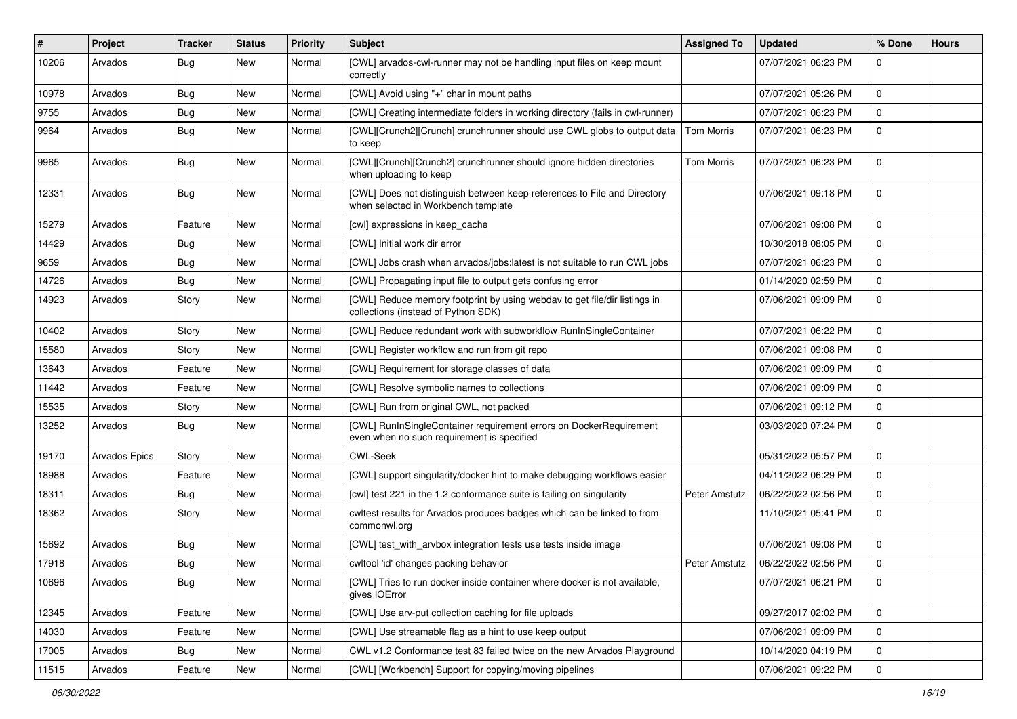| #     | Project       | <b>Tracker</b> | <b>Status</b> | <b>Priority</b> | <b>Subject</b>                                                                                                   | <b>Assigned To</b> | <b>Updated</b>      | % Done      | <b>Hours</b> |
|-------|---------------|----------------|---------------|-----------------|------------------------------------------------------------------------------------------------------------------|--------------------|---------------------|-------------|--------------|
| 10206 | Arvados       | Bug            | New           | Normal          | [CWL] arvados-cwl-runner may not be handling input files on keep mount<br>correctly                              |                    | 07/07/2021 06:23 PM | $\mathbf 0$ |              |
| 10978 | Arvados       | Bug            | <b>New</b>    | Normal          | [CWL] Avoid using "+" char in mount paths                                                                        |                    | 07/07/2021 05:26 PM | $\Omega$    |              |
| 9755  | Arvados       | Bug            | New           | Normal          | [CWL] Creating intermediate folders in working directory (fails in cwl-runner)                                   |                    | 07/07/2021 06:23 PM | $\mathbf 0$ |              |
| 9964  | Arvados       | Bug            | New           | Normal          | [CWL][Crunch2][Crunch] crunchrunner should use CWL globs to output data<br>to keep                               | <b>Tom Morris</b>  | 07/07/2021 06:23 PM | $\mathbf 0$ |              |
| 9965  | Arvados       | Bug            | New           | Normal          | [CWL][Crunch][Crunch2] crunchrunner should ignore hidden directories<br>when uploading to keep                   | <b>Tom Morris</b>  | 07/07/2021 06:23 PM | $\mathbf 0$ |              |
| 12331 | Arvados       | Bug            | <b>New</b>    | Normal          | [CWL] Does not distinguish between keep references to File and Directory<br>when selected in Workbench template  |                    | 07/06/2021 09:18 PM | $\mathbf 0$ |              |
| 15279 | Arvados       | Feature        | <b>New</b>    | Normal          | [cwl] expressions in keep cache                                                                                  |                    | 07/06/2021 09:08 PM | $\mathbf 0$ |              |
| 14429 | Arvados       | Bug            | New           | Normal          | [CWL] Initial work dir error                                                                                     |                    | 10/30/2018 08:05 PM | $\mathbf 0$ |              |
| 9659  | Arvados       | Bug            | New           | Normal          | [CWL] Jobs crash when arvados/jobs:latest is not suitable to run CWL jobs                                        |                    | 07/07/2021 06:23 PM | $\mathbf 0$ |              |
| 14726 | Arvados       | Bug            | New           | Normal          | [CWL] Propagating input file to output gets confusing error                                                      |                    | 01/14/2020 02:59 PM | $\Omega$    |              |
| 14923 | Arvados       | Story          | New           | Normal          | [CWL] Reduce memory footprint by using webdav to get file/dir listings in<br>collections (instead of Python SDK) |                    | 07/06/2021 09:09 PM | $\mathbf 0$ |              |
| 10402 | Arvados       | Story          | New           | Normal          | [CWL] Reduce redundant work with subworkflow RunInSingleContainer                                                |                    | 07/07/2021 06:22 PM | $\Omega$    |              |
| 15580 | Arvados       | Story          | New           | Normal          | [CWL] Register workflow and run from git repo                                                                    |                    | 07/06/2021 09:08 PM | $\mathbf 0$ |              |
| 13643 | Arvados       | Feature        | New           | Normal          | [CWL] Requirement for storage classes of data                                                                    |                    | 07/06/2021 09:09 PM | $\mathbf 0$ |              |
| 11442 | Arvados       | Feature        | New           | Normal          | [CWL] Resolve symbolic names to collections                                                                      |                    | 07/06/2021 09:09 PM | $\mathbf 0$ |              |
| 15535 | Arvados       | Story          | New           | Normal          | [CWL] Run from original CWL, not packed                                                                          |                    | 07/06/2021 09:12 PM | $\mathbf 0$ |              |
| 13252 | Arvados       | Bug            | New           | Normal          | [CWL] RunInSingleContainer requirement errors on DockerRequirement<br>even when no such requirement is specified |                    | 03/03/2020 07:24 PM | $\mathbf 0$ |              |
| 19170 | Arvados Epics | Story          | New           | Normal          | <b>CWL-Seek</b>                                                                                                  |                    | 05/31/2022 05:57 PM | $\mathbf 0$ |              |
| 18988 | Arvados       | Feature        | New           | Normal          | [CWL] support singularity/docker hint to make debugging workflows easier                                         |                    | 04/11/2022 06:29 PM | $\mathbf 0$ |              |
| 18311 | Arvados       | Bug            | New           | Normal          | [cwl] test 221 in the 1.2 conformance suite is failing on singularity                                            | Peter Amstutz      | 06/22/2022 02:56 PM | $\mathbf 0$ |              |
| 18362 | Arvados       | Story          | New           | Normal          | cwltest results for Arvados produces badges which can be linked to from<br>commonwl.org                          |                    | 11/10/2021 05:41 PM | $\mathbf 0$ |              |
| 15692 | Arvados       | Bug            | New           | Normal          | [CWL] test_with_arvbox integration tests use tests inside image                                                  |                    | 07/06/2021 09:08 PM | $\mathbf 0$ |              |
| 17918 | Arvados       | Bug            | New           | Normal          | cwltool 'id' changes packing behavior                                                                            | Peter Amstutz      | 06/22/2022 02:56 PM | $\mathbf 0$ |              |
| 10696 | Arvados       | <b>Bug</b>     | New           | Normal          | [CWL] Tries to run docker inside container where docker is not available,<br>gives IOError                       |                    | 07/07/2021 06:21 PM | l 0         |              |
| 12345 | Arvados       | Feature        | New           | Normal          | [CWL] Use arv-put collection caching for file uploads                                                            |                    | 09/27/2017 02:02 PM | $\mathbf 0$ |              |
| 14030 | Arvados       | Feature        | New           | Normal          | [CWL] Use streamable flag as a hint to use keep output                                                           |                    | 07/06/2021 09:09 PM | 0           |              |
| 17005 | Arvados       | <b>Bug</b>     | New           | Normal          | CWL v1.2 Conformance test 83 failed twice on the new Arvados Playground                                          |                    | 10/14/2020 04:19 PM | $\mathbf 0$ |              |
| 11515 | Arvados       | Feature        | New           | Normal          | [CWL] [Workbench] Support for copying/moving pipelines                                                           |                    | 07/06/2021 09:22 PM | $\mathbf 0$ |              |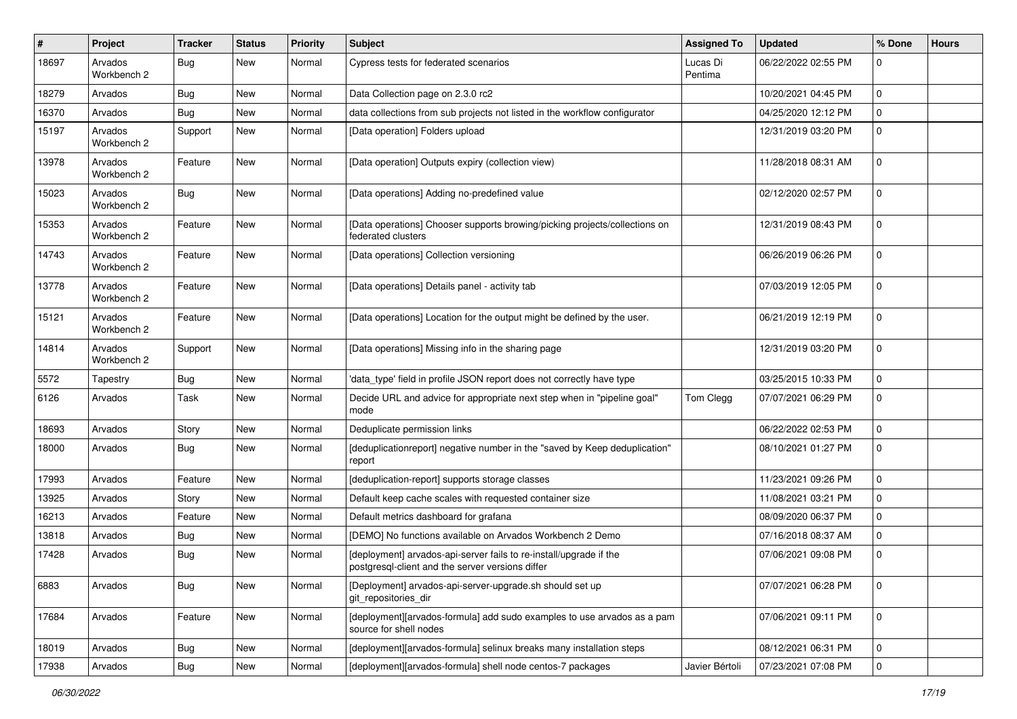| $\sharp$ | Project                | <b>Tracker</b> | <b>Status</b> | Priority | <b>Subject</b>                                                                                                         | <b>Assigned To</b>  | <b>Updated</b>      | % Done      | <b>Hours</b> |
|----------|------------------------|----------------|---------------|----------|------------------------------------------------------------------------------------------------------------------------|---------------------|---------------------|-------------|--------------|
| 18697    | Arvados<br>Workbench 2 | Bug            | New           | Normal   | Cypress tests for federated scenarios                                                                                  | Lucas Di<br>Pentima | 06/22/2022 02:55 PM | 0           |              |
| 18279    | Arvados                | Bug            | New           | Normal   | Data Collection page on 2.3.0 rc2                                                                                      |                     | 10/20/2021 04:45 PM | $\mathbf 0$ |              |
| 16370    | Arvados                | Bug            | New           | Normal   | data collections from sub projects not listed in the workflow configurator                                             |                     | 04/25/2020 12:12 PM | 0           |              |
| 15197    | Arvados<br>Workbench 2 | Support        | New           | Normal   | [Data operation] Folders upload                                                                                        |                     | 12/31/2019 03:20 PM | 0           |              |
| 13978    | Arvados<br>Workbench 2 | Feature        | New           | Normal   | [Data operation] Outputs expiry (collection view)                                                                      |                     | 11/28/2018 08:31 AM | $\mathbf 0$ |              |
| 15023    | Arvados<br>Workbench 2 | Bug            | New           | Normal   | [Data operations] Adding no-predefined value                                                                           |                     | 02/12/2020 02:57 PM | $\mathbf 0$ |              |
| 15353    | Arvados<br>Workbench 2 | Feature        | <b>New</b>    | Normal   | [Data operations] Chooser supports browing/picking projects/collections on<br>federated clusters                       |                     | 12/31/2019 08:43 PM | $\mathbf 0$ |              |
| 14743    | Arvados<br>Workbench 2 | Feature        | <b>New</b>    | Normal   | [Data operations] Collection versioning                                                                                |                     | 06/26/2019 06:26 PM | 0           |              |
| 13778    | Arvados<br>Workbench 2 | Feature        | New           | Normal   | [Data operations] Details panel - activity tab                                                                         |                     | 07/03/2019 12:05 PM | $\Omega$    |              |
| 15121    | Arvados<br>Workbench 2 | Feature        | <b>New</b>    | Normal   | [Data operations] Location for the output might be defined by the user.                                                |                     | 06/21/2019 12:19 PM | $\mathbf 0$ |              |
| 14814    | Arvados<br>Workbench 2 | Support        | New           | Normal   | [Data operations] Missing info in the sharing page                                                                     |                     | 12/31/2019 03:20 PM | 0           |              |
| 5572     | Tapestry               | Bug            | New           | Normal   | 'data_type' field in profile JSON report does not correctly have type                                                  |                     | 03/25/2015 10:33 PM | 0           |              |
| 6126     | Arvados                | Task           | <b>New</b>    | Normal   | Decide URL and advice for appropriate next step when in "pipeline goal"<br>mode                                        | Tom Clegg           | 07/07/2021 06:29 PM | 0           |              |
| 18693    | Arvados                | Story          | New           | Normal   | Deduplicate permission links                                                                                           |                     | 06/22/2022 02:53 PM | 0           |              |
| 18000    | Arvados                | Bug            | New           | Normal   | [deduplicationreport] negative number in the "saved by Keep deduplication"<br>report                                   |                     | 08/10/2021 01:27 PM | 0           |              |
| 17993    | Arvados                | Feature        | New           | Normal   | [deduplication-report] supports storage classes                                                                        |                     | 11/23/2021 09:26 PM | 0           |              |
| 13925    | Arvados                | Story          | New           | Normal   | Default keep cache scales with requested container size                                                                |                     | 11/08/2021 03:21 PM | 0           |              |
| 16213    | Arvados                | Feature        | New           | Normal   | Default metrics dashboard for grafana                                                                                  |                     | 08/09/2020 06:37 PM | 0           |              |
| 13818    | Arvados                | <b>Bug</b>     | New           | Normal   | [DEMO] No functions available on Arvados Workbench 2 Demo                                                              |                     | 07/16/2018 08:37 AM | 0           |              |
| 17428    | Arvados                | Bug            | New           | Normal   | [deployment] arvados-api-server fails to re-install/upgrade if the<br>postgresql-client and the server versions differ |                     | 07/06/2021 09:08 PM | 0           |              |
| 6883     | Arvados                | <b>Bug</b>     | New           | Normal   | [Deployment] arvados-api-server-upgrade.sh should set up<br>git_repositories_dir                                       |                     | 07/07/2021 06:28 PM | $\pmb{0}$   |              |
| 17684    | Arvados                | Feature        | New           | Normal   | [deployment][arvados-formula] add sudo examples to use arvados as a pam<br>source for shell nodes                      |                     | 07/06/2021 09:11 PM | $\mathsf 0$ |              |
| 18019    | Arvados                | <b>Bug</b>     | New           | Normal   | [deployment][arvados-formula] selinux breaks many installation steps                                                   |                     | 08/12/2021 06:31 PM | $\mathbf 0$ |              |
| 17938    | Arvados                | <b>Bug</b>     | New           | Normal   | [deployment][arvados-formula] shell node centos-7 packages                                                             | Javier Bértoli      | 07/23/2021 07:08 PM | $\pmb{0}$   |              |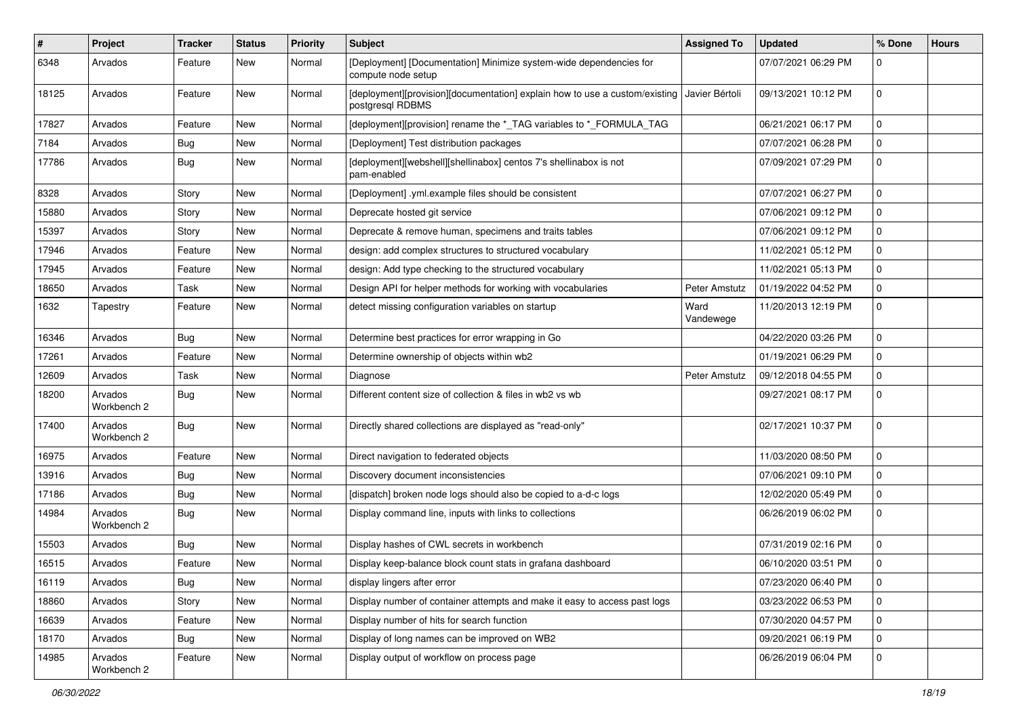| $\pmb{\#}$ | Project                | <b>Tracker</b> | <b>Status</b> | Priority | <b>Subject</b>                                                                                  | <b>Assigned To</b>   | <b>Updated</b>      | % Done         | <b>Hours</b> |
|------------|------------------------|----------------|---------------|----------|-------------------------------------------------------------------------------------------------|----------------------|---------------------|----------------|--------------|
| 6348       | Arvados                | Feature        | New           | Normal   | [Deployment] [Documentation] Minimize system-wide dependencies for<br>compute node setup        |                      | 07/07/2021 06:29 PM | $\mathbf 0$    |              |
| 18125      | Arvados                | Feature        | New           | Normal   | [deployment][provision][documentation] explain how to use a custom/existing<br>postgresql RDBMS | Javier Bértoli       | 09/13/2021 10:12 PM | $\mathbf 0$    |              |
| 17827      | Arvados                | Feature        | <b>New</b>    | Normal   | [deployment][provision] rename the *_TAG variables to *_FORMULA_TAG                             |                      | 06/21/2021 06:17 PM | $\mathbf 0$    |              |
| 7184       | Arvados                | Bug            | New           | Normal   | [Deployment] Test distribution packages                                                         |                      | 07/07/2021 06:28 PM | $\Omega$       |              |
| 17786      | Arvados                | Bug            | New           | Normal   | [deployment][webshell][shellinabox] centos 7's shellinabox is not<br>pam-enabled                |                      | 07/09/2021 07:29 PM | $\mathbf 0$    |              |
| 8328       | Arvados                | Story          | New           | Normal   | [Deployment] .yml.example files should be consistent                                            |                      | 07/07/2021 06:27 PM | $\mathbf 0$    |              |
| 15880      | Arvados                | Story          | New           | Normal   | Deprecate hosted git service                                                                    |                      | 07/06/2021 09:12 PM | $\mathbf 0$    |              |
| 15397      | Arvados                | Story          | New           | Normal   | Deprecate & remove human, specimens and traits tables                                           |                      | 07/06/2021 09:12 PM | $\mathbf 0$    |              |
| 17946      | Arvados                | Feature        | New           | Normal   | design: add complex structures to structured vocabulary                                         |                      | 11/02/2021 05:12 PM | $\mathbf 0$    |              |
| 17945      | Arvados                | Feature        | New           | Normal   | design: Add type checking to the structured vocabulary                                          |                      | 11/02/2021 05:13 PM | $\mathbf 0$    |              |
| 18650      | Arvados                | Task           | New           | Normal   | Design API for helper methods for working with vocabularies                                     | <b>Peter Amstutz</b> | 01/19/2022 04:52 PM | $\Omega$       |              |
| 1632       | Tapestry               | Feature        | New           | Normal   | detect missing configuration variables on startup                                               | Ward<br>Vandewege    | 11/20/2013 12:19 PM | $\mathbf 0$    |              |
| 16346      | Arvados                | Bug            | New           | Normal   | Determine best practices for error wrapping in Go                                               |                      | 04/22/2020 03:26 PM | $\Omega$       |              |
| 17261      | Arvados                | Feature        | New           | Normal   | Determine ownership of objects within wb2                                                       |                      | 01/19/2021 06:29 PM | $\mathbf 0$    |              |
| 12609      | Arvados                | Task           | New           | Normal   | Diagnose                                                                                        | Peter Amstutz        | 09/12/2018 04:55 PM | $\Omega$       |              |
| 18200      | Arvados<br>Workbench 2 | Bug            | New           | Normal   | Different content size of collection & files in wb2 vs wb                                       |                      | 09/27/2021 08:17 PM | $\mathbf 0$    |              |
| 17400      | Arvados<br>Workbench 2 | Bug            | New           | Normal   | Directly shared collections are displayed as "read-only"                                        |                      | 02/17/2021 10:37 PM | $\mathbf 0$    |              |
| 16975      | Arvados                | Feature        | New           | Normal   | Direct navigation to federated objects                                                          |                      | 11/03/2020 08:50 PM | $\mathbf 0$    |              |
| 13916      | Arvados                | Bug            | New           | Normal   | Discovery document inconsistencies                                                              |                      | 07/06/2021 09:10 PM | $\mathbf 0$    |              |
| 17186      | Arvados                | Bug            | New           | Normal   | [dispatch] broken node logs should also be copied to a-d-c logs                                 |                      | 12/02/2020 05:49 PM | $\mathbf 0$    |              |
| 14984      | Arvados<br>Workbench 2 | <b>Bug</b>     | New           | Normal   | Display command line, inputs with links to collections                                          |                      | 06/26/2019 06:02 PM | $\mathbf 0$    |              |
| 15503      | Arvados                | Bug            | New           | Normal   | Display hashes of CWL secrets in workbench                                                      |                      | 07/31/2019 02:16 PM | $\mathbf 0$    |              |
| 16515      | Arvados                | Feature        | New           | Normal   | Display keep-balance block count stats in grafana dashboard                                     |                      | 06/10/2020 03:51 PM | $\mathbf 0$    |              |
| 16119      | Arvados                | <b>Bug</b>     | New           | Normal   | display lingers after error                                                                     |                      | 07/23/2020 06:40 PM | $\overline{0}$ |              |
| 18860      | Arvados                | Story          | New           | Normal   | Display number of container attempts and make it easy to access past logs                       |                      | 03/23/2022 06:53 PM | 0              |              |
| 16639      | Arvados                | Feature        | New           | Normal   | Display number of hits for search function                                                      |                      | 07/30/2020 04:57 PM | $\mathbf 0$    |              |
| 18170      | Arvados                | <b>Bug</b>     | New           | Normal   | Display of long names can be improved on WB2                                                    |                      | 09/20/2021 06:19 PM | 0              |              |
| 14985      | Arvados<br>Workbench 2 | Feature        | New           | Normal   | Display output of workflow on process page                                                      |                      | 06/26/2019 06:04 PM | 0              |              |